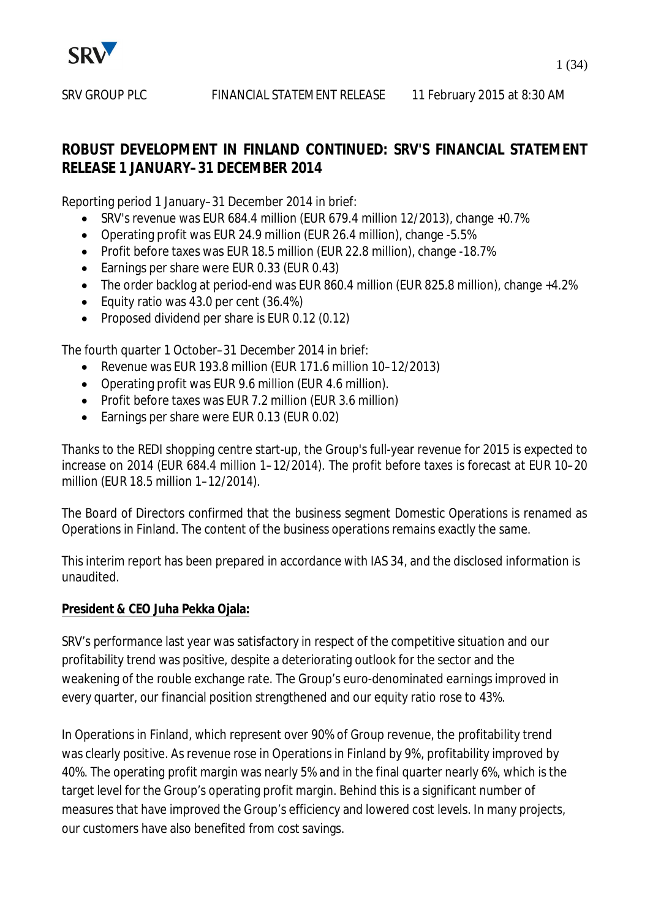

## **ROBUST DEVELOPMENT IN FINLAND CONTINUED: SRV'S FINANCIAL STATEMENT RELEASE 1 JANUARY–31 DECEMBER 2014**

Reporting period 1 January–31 December 2014 in brief:

- $\bullet$  SRV's revenue was EUR 684.4 million (EUR 679.4 million 12/2013), change +0.7%
- Operating profit was EUR 24.9 million (EUR 26.4 million), change -5.5%
- Profit before taxes was EUR 18.5 million (EUR 22.8 million), change -18.7%
- Earnings per share were EUR 0.33 (EUR 0.43)
- The order backlog at period-end was EUR 860.4 million (EUR 825.8 million), change +4.2%
- Equity ratio was  $43.0$  per cent  $(36.4%)$
- Proposed dividend per share is EUR  $0.12$  (0.12)

The fourth quarter 1 October–31 December 2014 in brief:

- $\bullet$  Revenue was EUR 193.8 million (EUR 171.6 million 10–12/2013)
- Operating profit was EUR 9.6 million (EUR 4.6 million).
- Profit before taxes was EUR 7.2 million (EUR 3.6 million)
- Earnings per share were EUR 0.13 (EUR 0.02)

Thanks to the REDI shopping centre start-up, the Group's full-year revenue for 2015 is expected to increase on 2014 (EUR 684.4 million 1–12/2014). The profit before taxes is forecast at EUR 10–20 million (EUR 18.5 million 1–12/2014).

The Board of Directors confirmed that the business segment Domestic Operations is renamed as Operations in Finland. The content of the business operations remains exactly the same.

This interim report has been prepared in accordance with IAS 34, and the disclosed information is unaudited.

## **President & CEO Juha Pekka Ojala:**

SRV's performance last year was satisfactory in respect of the competitive situation and our profitability trend was positive, despite a deteriorating outlook for the sector and the weakening of the rouble exchange rate. The Group's euro-denominated earnings improved in every quarter, our financial position strengthened and our equity ratio rose to 43%.

In Operations in Finland, which represent over 90% of Group revenue, the profitability trend was clearly positive. As revenue rose in Operations in Finland by 9%, profitability improved by 40%. The operating profit margin was nearly 5% and in the final quarter nearly 6%, which is the target level for the Group's operating profit margin. Behind this is a significant number of measures that have improved the Group's efficiency and lowered cost levels. In many projects, our customers have also benefited from cost savings.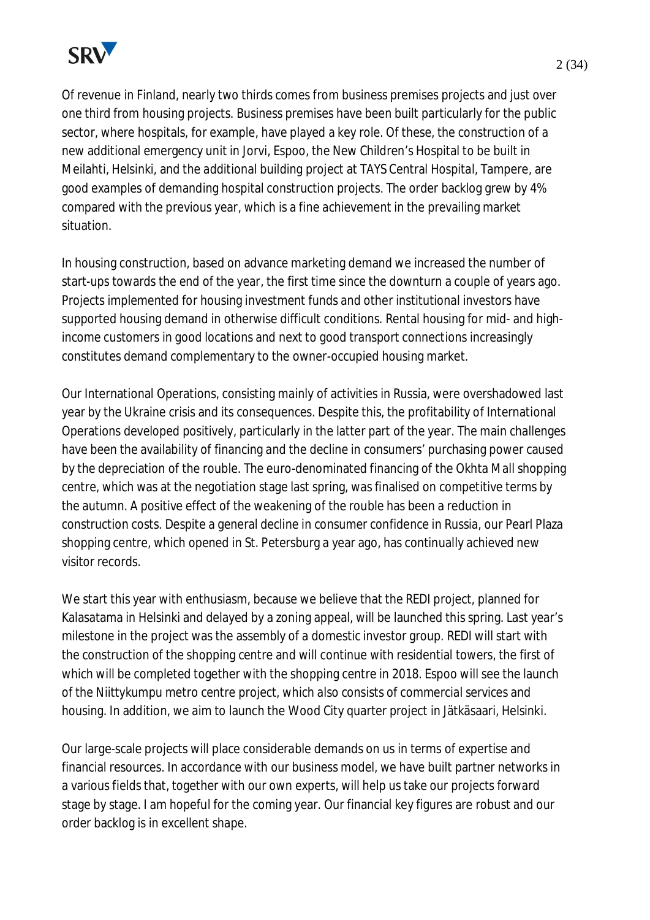

Of revenue in Finland, nearly two thirds comes from business premises projects and just over one third from housing projects. Business premises have been built particularly for the public sector, where hospitals, for example, have played a key role. Of these, the construction of a new additional emergency unit in Jorvi, Espoo, the New Children's Hospital to be built in Meilahti, Helsinki, and the additional building project at TAYS Central Hospital, Tampere, are good examples of demanding hospital construction projects. The order backlog grew by 4% compared with the previous year, which is a fine achievement in the prevailing market situation.

In housing construction, based on advance marketing demand we increased the number of start-ups towards the end of the year, the first time since the downturn a couple of years ago. Projects implemented for housing investment funds and other institutional investors have supported housing demand in otherwise difficult conditions. Rental housing for mid- and highincome customers in good locations and next to good transport connections increasingly constitutes demand complementary to the owner-occupied housing market.

Our International Operations, consisting mainly of activities in Russia, were overshadowed last year by the Ukraine crisis and its consequences. Despite this, the profitability of International Operations developed positively, particularly in the latter part of the year. The main challenges have been the availability of financing and the decline in consumers' purchasing power caused by the depreciation of the rouble. The euro-denominated financing of the Okhta Mall shopping centre, which was at the negotiation stage last spring, was finalised on competitive terms by the autumn. A positive effect of the weakening of the rouble has been a reduction in construction costs. Despite a general decline in consumer confidence in Russia, our Pearl Plaza shopping centre, which opened in St. Petersburg a year ago, has continually achieved new visitor records.

We start this year with enthusiasm, because we believe that the REDI project, planned for Kalasatama in Helsinki and delayed by a zoning appeal, will be launched this spring. Last year's milestone in the project was the assembly of a domestic investor group. REDI will start with the construction of the shopping centre and will continue with residential towers, the first of which will be completed together with the shopping centre in 2018. Espoo will see the launch of the Niittykumpu metro centre project, which also consists of commercial services and housing. In addition, we aim to launch the Wood City quarter project in Jätkäsaari, Helsinki.

Our large-scale projects will place considerable demands on us in terms of expertise and financial resources. In accordance with our business model, we have built partner networks in a various fields that, together with our own experts, will help us take our projects forward stage by stage. I am hopeful for the coming year. Our financial key figures are robust and our order backlog is in excellent shape.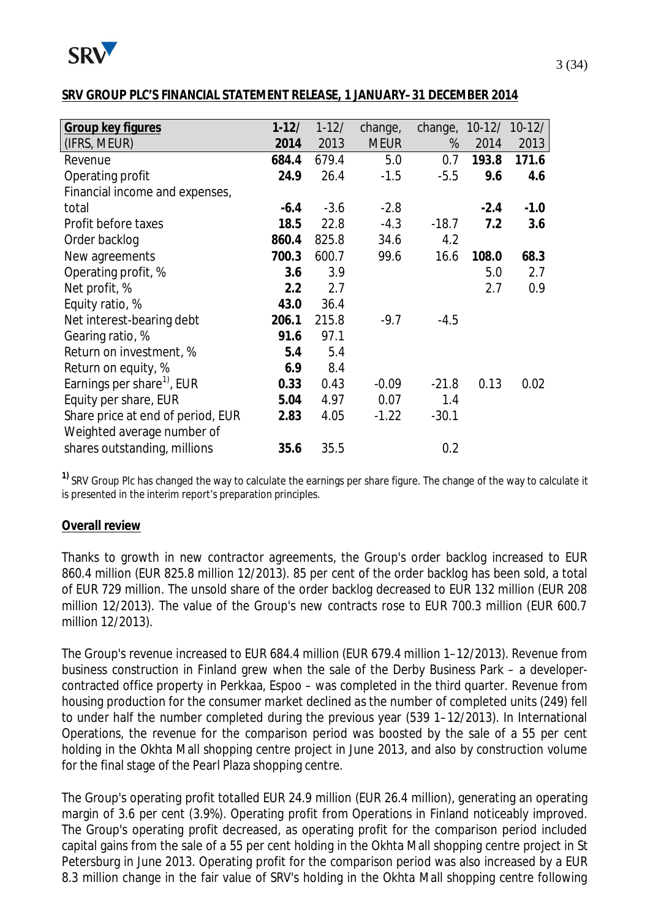

#### **SRV GROUP PLC'S FINANCIAL STATEMENT RELEASE, 1 JANUARY–31 DECEMBER 2014**

| Group key figures                      | $1 - 12/$ | $1 - 12/$ | change,     | change, |        | 10-12/ 10-12/ |
|----------------------------------------|-----------|-----------|-------------|---------|--------|---------------|
| (IFRS, MEUR)                           | 2014      | 2013      | <b>MEUR</b> | %       | 2014   | 2013          |
| Revenue                                | 684.4     | 679.4     | 5.0         | 0.7     | 193.8  | 171.6         |
| Operating profit                       | 24.9      | 26.4      | $-1.5$      | $-5.5$  | 9.6    | 4.6           |
| Financial income and expenses,         |           |           |             |         |        |               |
| total                                  | $-6.4$    | $-3.6$    | $-2.8$      |         | $-2.4$ | $-1.0$        |
| Profit before taxes                    | 18.5      | 22.8      | $-4.3$      | $-18.7$ | 7.2    | 3.6           |
| Order backlog                          | 860.4     | 825.8     | 34.6        | 4.2     |        |               |
| New agreements                         | 700.3     | 600.7     | 99.6        | 16.6    | 108.0  | 68.3          |
| Operating profit, %                    | 3.6       | 3.9       |             |         | 5.0    | 2.7           |
| Net profit, %                          | 2.2       | 2.7       |             |         | 2.7    | 0.9           |
| Equity ratio, %                        | 43.0      | 36.4      |             |         |        |               |
| Net interest-bearing debt              | 206.1     | 215.8     | $-9.7$      | $-4.5$  |        |               |
| Gearing ratio, %                       | 91.6      | 97.1      |             |         |        |               |
| Return on investment, %                | 5.4       | 5.4       |             |         |        |               |
| Return on equity, %                    | 6.9       | 8.4       |             |         |        |               |
| Earnings per share <sup>1)</sup> , EUR | 0.33      | 0.43      | $-0.09$     | $-21.8$ | 0.13   | 0.02          |
| Equity per share, EUR                  | 5.04      | 4.97      | 0.07        | 1.4     |        |               |
| Share price at end of period, EUR      | 2.83      | 4.05      | $-1.22$     | $-30.1$ |        |               |
| Weighted average number of             |           |           |             |         |        |               |
| shares outstanding, millions           | 35.6      | 35.5      |             | 0.2     |        |               |

**1)** SRV Group Plc has changed the way to calculate the earnings per share figure. The change of the way to calculate it is presented in the interim report's preparation principles.

#### **Overall review**

Thanks to growth in new contractor agreements, the Group's order backlog increased to EUR 860.4 million (EUR 825.8 million 12/2013). 85 per cent of the order backlog has been sold, a total of EUR 729 million. The unsold share of the order backlog decreased to EUR 132 million (EUR 208 million 12/2013). The value of the Group's new contracts rose to EUR 700.3 million (EUR 600.7 million 12/2013).

The Group's revenue increased to EUR 684.4 million (EUR 679.4 million 1–12/2013). Revenue from business construction in Finland grew when the sale of the Derby Business Park – a developercontracted office property in Perkkaa, Espoo – was completed in the third quarter. Revenue from housing production for the consumer market declined as the number of completed units (249) fell to under half the number completed during the previous year (539 1–12/2013). In International Operations, the revenue for the comparison period was boosted by the sale of a 55 per cent holding in the Okhta Mall shopping centre project in June 2013, and also by construction volume for the final stage of the Pearl Plaza shopping centre.

The Group's operating profit totalled EUR 24.9 million (EUR 26.4 million), generating an operating margin of 3.6 per cent (3.9%). Operating profit from Operations in Finland noticeably improved. The Group's operating profit decreased, as operating profit for the comparison period included capital gains from the sale of a 55 per cent holding in the Okhta Mall shopping centre project in St Petersburg in June 2013. Operating profit for the comparison period was also increased by a EUR 8.3 million change in the fair value of SRV's holding in the Okhta Mall shopping centre following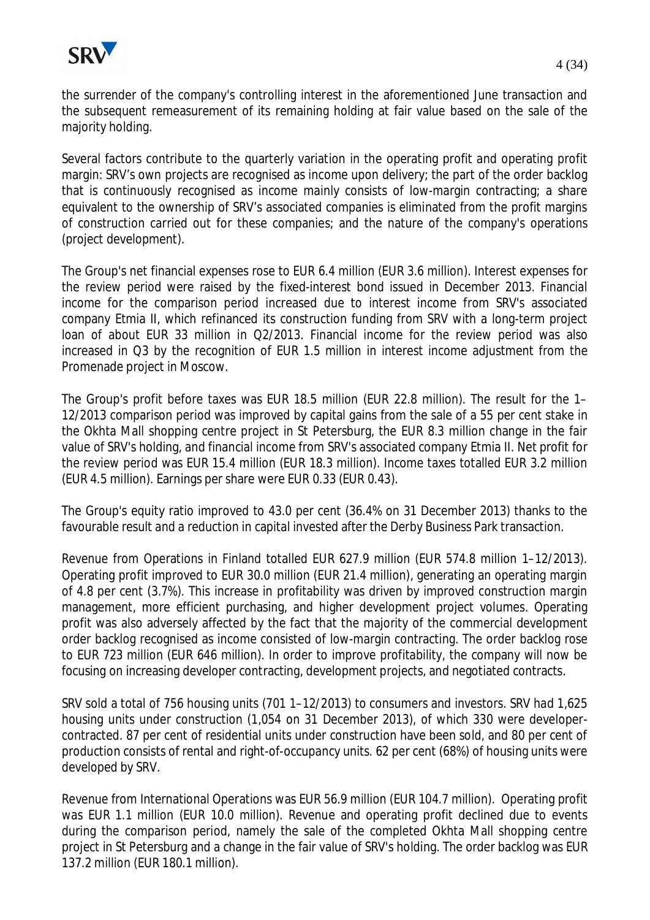

the surrender of the company's controlling interest in the aforementioned June transaction and the subsequent remeasurement of its remaining holding at fair value based on the sale of the majority holding.

Several factors contribute to the quarterly variation in the operating profit and operating profit margin: SRV's own projects are recognised as income upon delivery; the part of the order backlog that is continuously recognised as income mainly consists of low-margin contracting; a share equivalent to the ownership of SRV's associated companies is eliminated from the profit margins of construction carried out for these companies; and the nature of the company's operations (project development).

The Group's net financial expenses rose to EUR 6.4 million (EUR 3.6 million). Interest expenses for the review period were raised by the fixed-interest bond issued in December 2013. Financial income for the comparison period increased due to interest income from SRV's associated company Etmia II, which refinanced its construction funding from SRV with a long-term project loan of about EUR 33 million in Q2/2013. Financial income for the review period was also increased in Q3 by the recognition of EUR 1.5 million in interest income adjustment from the Promenade project in Moscow.

The Group's profit before taxes was EUR 18.5 million (EUR 22.8 million). The result for the 1– 12/2013 comparison period was improved by capital gains from the sale of a 55 per cent stake in the Okhta Mall shopping centre project in St Petersburg, the EUR 8.3 million change in the fair value of SRV's holding, and financial income from SRV's associated company Etmia II. Net profit for the review period was EUR 15.4 million (EUR 18.3 million). Income taxes totalled EUR 3.2 million (EUR 4.5 million). Earnings per share were EUR 0.33 (EUR 0.43).

The Group's equity ratio improved to 43.0 per cent (36.4% on 31 December 2013) thanks to the favourable result and a reduction in capital invested after the Derby Business Park transaction.

Revenue from Operations in Finland totalled EUR 627.9 million (EUR 574.8 million 1–12/2013). Operating profit improved to EUR 30.0 million (EUR 21.4 million), generating an operating margin of 4.8 per cent (3.7%). This increase in profitability was driven by improved construction margin management, more efficient purchasing, and higher development project volumes. Operating profit was also adversely affected by the fact that the majority of the commercial development order backlog recognised as income consisted of low-margin contracting. The order backlog rose to EUR 723 million (EUR 646 million). In order to improve profitability, the company will now be focusing on increasing developer contracting, development projects, and negotiated contracts.

SRV sold a total of 756 housing units (701 1–12/2013) to consumers and investors. SRV had 1,625 housing units under construction (1,054 on 31 December 2013), of which 330 were developercontracted. 87 per cent of residential units under construction have been sold, and 80 per cent of production consists of rental and right-of-occupancy units. 62 per cent (68%) of housing units were developed by SRV.

Revenue from International Operations was EUR 56.9 million (EUR 104.7 million). Operating profit was EUR 1.1 million (EUR 10.0 million). Revenue and operating profit declined due to events during the comparison period, namely the sale of the completed Okhta Mall shopping centre project in St Petersburg and a change in the fair value of SRV's holding. The order backlog was EUR 137.2 million (EUR 180.1 million).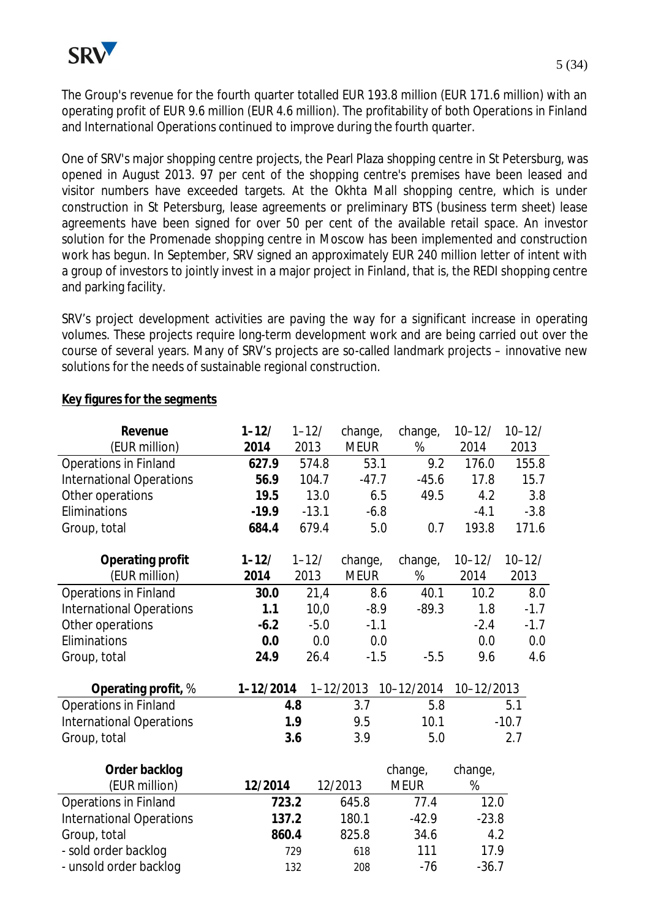The Group's revenue for the fourth quarter totalled EUR 193.8 million (EUR 171.6 million) with an operating profit of EUR 9.6 million (EUR 4.6 million). The profitability of both Operations in Finland and International Operations continued to improve during the fourth quarter.

One of SRV's major shopping centre projects, the Pearl Plaza shopping centre in St Petersburg, was opened in August 2013. 97 per cent of the shopping centre's premises have been leased and visitor numbers have exceeded targets. At the Okhta Mall shopping centre, which is under construction in St Petersburg, lease agreements or preliminary BTS (business term sheet) lease agreements have been signed for over 50 per cent of the available retail space. An investor solution for the Promenade shopping centre in Moscow has been implemented and construction work has begun. In September, SRV signed an approximately EUR 240 million letter of intent with a group of investors to jointly invest in a major project in Finland, that is, the REDI shopping centre and parking facility.

SRV's project development activities are paving the way for a significant increase in operating volumes. These projects require long-term development work and are being carried out over the course of several years. Many of SRV's projects are so-called landmark projects – innovative new solutions for the needs of sustainable regional construction.

| Revenue                         | $1 - 12/$ | $1 - 12/$ | change,       | change,     | $10 - 12/$ | $10 - 12/$ |
|---------------------------------|-----------|-----------|---------------|-------------|------------|------------|
| (EUR million)                   | 2014      | 2013      | <b>MEUR</b>   | $\%$        | 2014       | 2013       |
| Operations in Finland           | 627.9     | 574.8     | 53.1          | 9.2         | 176.0      | 155.8      |
| <b>International Operations</b> | 56.9      | 104.7     | $-47.7$       | $-45.6$     | 17.8       | 15.7       |
| Other operations                | 19.5      | 13.0      |               | 6.5<br>49.5 | 4.2        | 3.8        |
| Eliminations                    | $-19.9$   | $-13.1$   | $-6.8$        |             | $-4.1$     | $-3.8$     |
| Group, total                    | 684.4     | 679.4     |               | 5.0<br>0.7  | 193.8      | 171.6      |
| Operating profit                | $1 - 12/$ | $1 - 12/$ | change,       | change,     | $10 - 12/$ | $10 - 12/$ |
| (EUR million)                   | 2014      | 2013      | <b>MEUR</b>   | %           | 2014       | 2013       |
| <b>Operations in Finland</b>    | 30.0      | 21,4      |               | 40.1<br>8.6 | 10.2       | 8.0        |
| <b>International Operations</b> | 1.1       | 10,0      | $-8.9$        | $-89.3$     | 1.8        | $-1.7$     |
| Other operations                | $-6.2$    | $-5.0$    | $-1.1$        |             | $-2.4$     | $-1.7$     |
| Eliminations                    | 0.0       | 0.0       |               | 0.0         | 0.0        | 0.0        |
| Group, total                    | 24.9      | 26.4      | $-1.5$        | $-5.5$      | 9.6        | 4.6        |
| Operating profit, %             | 1-12/2014 |           | $1 - 12/2013$ | 10-12/2014  | 10-12/2013 |            |
| <b>Operations in Finland</b>    |           | 4.8       | 3.7           | 5.8         |            | 5.1        |
| <b>International Operations</b> |           | 1.9       | 9.5           | 10.1        |            | $-10.7$    |
| Group, total                    |           | 3.6       | 3.9           | 5.0         |            | 2.7        |
| Order backlog                   |           |           |               | change,     | change,    |            |
| (EUR million)                   | 12/2014   |           | 12/2013       | <b>MEUR</b> | $\%$       |            |
| Operations in Finland           |           | 723.2     | 645.8         | 77.4        | 12.0       |            |
| <b>International Operations</b> |           | 137.2     | 180.1         | $-42.9$     | $-23.8$    |            |
| Group, total                    |           | 860.4     | 825.8         | 34.6        | 4.2        |            |
| - sold order backlog            |           | 729       | 618           | 111         | 17.9       |            |
| - unsold order backlog          |           | 132       | 208           | $-76$       | $-36.7$    |            |

#### **Key figures for the segments**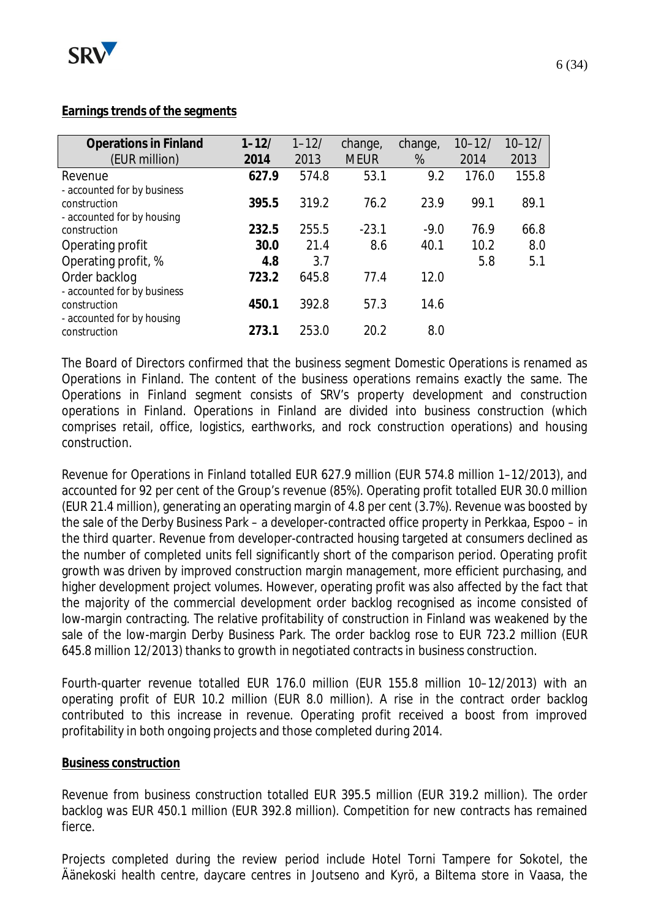

## **Earnings trends of the segments**

| <b>Operations in Finland</b>                                              | $1 - 12/$ | $1 - 12/$ | change,     | change, | $10 - 12/$ | $10 - 12/$ |
|---------------------------------------------------------------------------|-----------|-----------|-------------|---------|------------|------------|
| (EUR million)                                                             | 2014      | 2013      | <b>MEUR</b> | %       | 2014       | 2013       |
| Revenue                                                                   | 627.9     | 574.8     | 53.1        | 9.2     | 176.0      | 155.8      |
| - accounted for by business<br>construction                               | 395.5     | 319.2     | 76.2        | 23.9    | 99.1       | 89.1       |
| - accounted for by housing<br>construction                                | 232.5     | 255.5     | $-23.1$     | $-9.0$  | 76.9       | 66.8       |
| Operating profit                                                          | 30.0      | 21.4      | 8.6         | 40.1    | 10.2       | 8.0        |
| Operating profit, %                                                       | 4.8       | 3.7       |             |         | 5.8        | 5.1        |
| Order backlog                                                             | 723.2     | 645.8     | 77.4        | 12.0    |            |            |
| - accounted for by business<br>construction<br>- accounted for by housing | 450.1     | 392.8     | 57.3        | 14.6    |            |            |
| construction                                                              | 273.1     | 253.0     | 20.2        | 8.0     |            |            |

The Board of Directors confirmed that the business segment Domestic Operations is renamed as Operations in Finland. The content of the business operations remains exactly the same. The Operations in Finland segment consists of SRV's property development and construction operations in Finland. Operations in Finland are divided into business construction (which comprises retail, office, logistics, earthworks, and rock construction operations) and housing construction.

Revenue for Operations in Finland totalled EUR 627.9 million (EUR 574.8 million 1–12/2013), and accounted for 92 per cent of the Group's revenue (85%). Operating profit totalled EUR 30.0 million (EUR 21.4 million), generating an operating margin of 4.8 per cent (3.7%). Revenue was boosted by the sale of the Derby Business Park – a developer-contracted office property in Perkkaa, Espoo – in the third quarter. Revenue from developer-contracted housing targeted at consumers declined as the number of completed units fell significantly short of the comparison period. Operating profit growth was driven by improved construction margin management, more efficient purchasing, and higher development project volumes. However, operating profit was also affected by the fact that the majority of the commercial development order backlog recognised as income consisted of low-margin contracting. The relative profitability of construction in Finland was weakened by the sale of the low-margin Derby Business Park. The order backlog rose to EUR 723.2 million (EUR 645.8 million 12/2013) thanks to growth in negotiated contracts in business construction.

Fourth-quarter revenue totalled EUR 176.0 million (EUR 155.8 million 10–12/2013) with an operating profit of EUR 10.2 million (EUR 8.0 million). A rise in the contract order backlog contributed to this increase in revenue. Operating profit received a boost from improved profitability in both ongoing projects and those completed during 2014.

#### **Business construction**

Revenue from business construction totalled EUR 395.5 million (EUR 319.2 million). The order backlog was EUR 450.1 million (EUR 392.8 million). Competition for new contracts has remained fierce.

Projects completed during the review period include Hotel Torni Tampere for Sokotel, the Äänekoski health centre, daycare centres in Joutseno and Kyrö, a Biltema store in Vaasa, the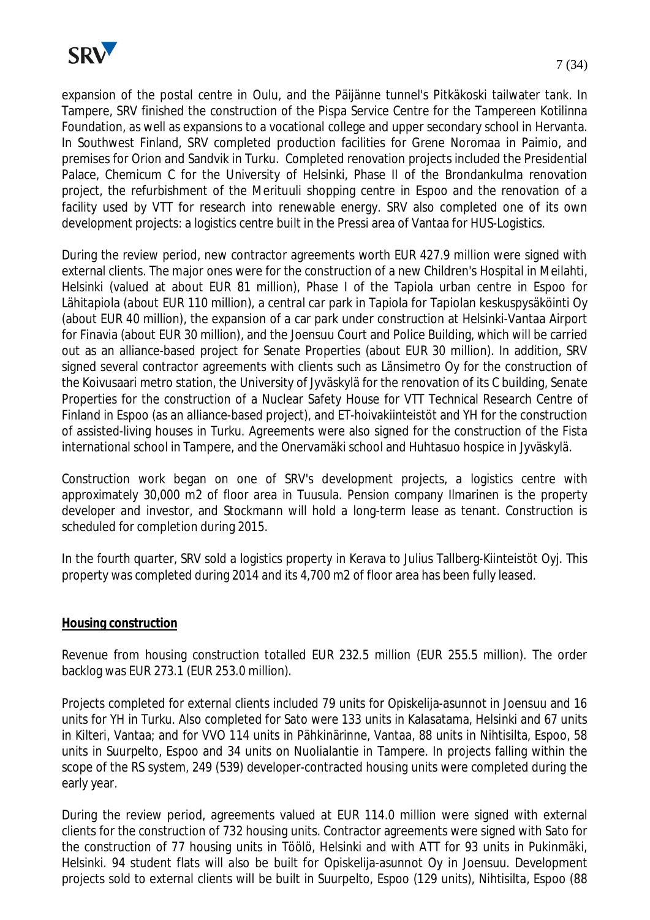

expansion of the postal centre in Oulu, and the Päijänne tunnel's Pitkäkoski tailwater tank. In Tampere, SRV finished the construction of the Pispa Service Centre for the Tampereen Kotilinna Foundation, as well as expansions to a vocational college and upper secondary school in Hervanta. In Southwest Finland, SRV completed production facilities for Grene Noromaa in Paimio, and premises for Orion and Sandvik in Turku. Completed renovation projects included the Presidential Palace, Chemicum C for the University of Helsinki, Phase II of the Brondankulma renovation project, the refurbishment of the Merituuli shopping centre in Espoo and the renovation of a facility used by VTT for research into renewable energy. SRV also completed one of its own development projects: a logistics centre built in the Pressi area of Vantaa for HUS-Logistics.

During the review period, new contractor agreements worth EUR 427.9 million were signed with external clients. The major ones were for the construction of a new Children's Hospital in Meilahti, Helsinki (valued at about EUR 81 million), Phase I of the Tapiola urban centre in Espoo for Lähitapiola (about EUR 110 million), a central car park in Tapiola for Tapiolan keskuspysäköinti Oy (about EUR 40 million), the expansion of a car park under construction at Helsinki-Vantaa Airport for Finavia (about EUR 30 million), and the Joensuu Court and Police Building, which will be carried out as an alliance-based project for Senate Properties (about EUR 30 million). In addition, SRV signed several contractor agreements with clients such as Länsimetro Oy for the construction of the Koivusaari metro station, the University of Jyväskylä for the renovation of its C building, Senate Properties for the construction of a Nuclear Safety House for VTT Technical Research Centre of Finland in Espoo (as an alliance-based project), and ET-hoivakiinteistöt and YH for the construction of assisted-living houses in Turku. Agreements were also signed for the construction of the Fista international school in Tampere, and the Onervamäki school and Huhtasuo hospice in Jyväskylä.

Construction work began on one of SRV's development projects, a logistics centre with approximately 30,000 m2 of floor area in Tuusula. Pension company Ilmarinen is the property developer and investor, and Stockmann will hold a long-term lease as tenant. Construction is scheduled for completion during 2015.

In the fourth quarter, SRV sold a logistics property in Kerava to Julius Tallberg-Kiinteistöt Oyj. This property was completed during 2014 and its 4,700 m2 of floor area has been fully leased.

#### **Housing construction**

Revenue from housing construction totalled EUR 232.5 million (EUR 255.5 million). The order backlog was EUR 273.1 (EUR 253.0 million).

Projects completed for external clients included 79 units for Opiskelija-asunnot in Joensuu and 16 units for YH in Turku. Also completed for Sato were 133 units in Kalasatama, Helsinki and 67 units in Kilteri, Vantaa; and for VVO 114 units in Pähkinärinne, Vantaa, 88 units in Nihtisilta, Espoo, 58 units in Suurpelto, Espoo and 34 units on Nuolialantie in Tampere. In projects falling within the scope of the RS system, 249 (539) developer-contracted housing units were completed during the early year.

During the review period, agreements valued at EUR 114.0 million were signed with external clients for the construction of 732 housing units. Contractor agreements were signed with Sato for the construction of 77 housing units in Töölö, Helsinki and with ATT for 93 units in Pukinmäki, Helsinki. 94 student flats will also be built for Opiskelija-asunnot Oy in Joensuu. Development projects sold to external clients will be built in Suurpelto, Espoo (129 units), Nihtisilta, Espoo (88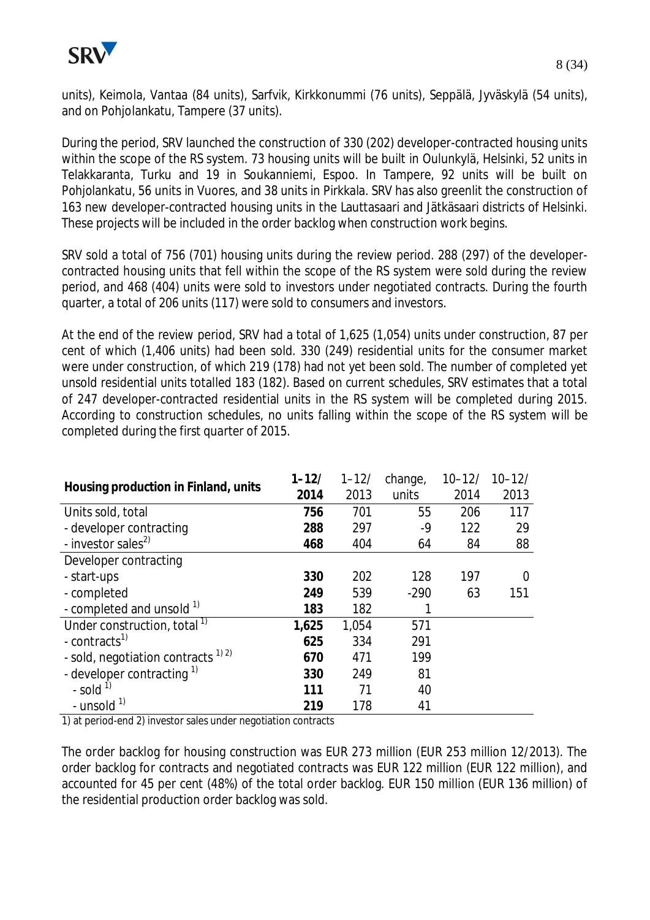

units), Keimola, Vantaa (84 units), Sarfvik, Kirkkonummi (76 units), Seppälä, Jyväskylä (54 units), and on Pohjolankatu, Tampere (37 units).

During the period, SRV launched the construction of 330 (202) developer-contracted housing units within the scope of the RS system. 73 housing units will be built in Oulunkylä, Helsinki, 52 units in Telakkaranta, Turku and 19 in Soukanniemi, Espoo. In Tampere, 92 units will be built on Pohjolankatu, 56 units in Vuores, and 38 units in Pirkkala. SRV has also greenlit the construction of 163 new developer-contracted housing units in the Lauttasaari and Jätkäsaari districts of Helsinki. These projects will be included in the order backlog when construction work begins.

SRV sold a total of 756 (701) housing units during the review period. 288 (297) of the developercontracted housing units that fell within the scope of the RS system were sold during the review period, and 468 (404) units were sold to investors under negotiated contracts. During the fourth quarter, a total of 206 units (117) were sold to consumers and investors.

At the end of the review period, SRV had a total of 1,625 (1,054) units under construction, 87 per cent of which (1,406 units) had been sold. 330 (249) residential units for the consumer market were under construction, of which 219 (178) had not yet been sold. The number of completed yet unsold residential units totalled 183 (182). Based on current schedules, SRV estimates that a total of 247 developer-contracted residential units in the RS system will be completed during 2015. According to construction schedules, no units falling within the scope of the RS system will be completed during the first quarter of 2015.

| Housing production in Finland, units    | $1 - 12/$ | $1 - 12/$ | change, | $10 - 12/$ | $10 - 12/$ |
|-----------------------------------------|-----------|-----------|---------|------------|------------|
|                                         | 2014      | 2013      | units   | 2014       | 2013       |
| Units sold, total                       | 756       | 701       | 55      | 206        | 117        |
| - developer contracting                 | 288       | 297       | -9      | 122        | 29         |
| - investor sales <sup>2)</sup>          | 468       | 404       | 64      | 84         | 88         |
| Developer contracting                   |           |           |         |            |            |
| - start-ups                             | 330       | 202       | 128     | 197        | ∩          |
| - completed                             | 249       | 539       | $-290$  | 63         | 151        |
| - completed and unsold 1)               | 183       | 182       |         |            |            |
| Under construction, total <sup>1)</sup> | 1,625     | 1,054     | 571     |            |            |
| - contracts <sup>1)</sup>               | 625       | 334       | 291     |            |            |
| - sold, negotiation contracts $^{1/2}$  | 670       | 471       | 199     |            |            |
| - developer contracting $1$             | 330       | 249       | 81      |            |            |
| - sold $^{1)}$                          | 111       | 71        | 40      |            |            |
| - unsold $1$                            | 219       | 178       | 41      |            |            |

1) at period-end 2) investor sales under negotiation contracts

The order backlog for housing construction was EUR 273 million (EUR 253 million 12/2013). The order backlog for contracts and negotiated contracts was EUR 122 million (EUR 122 million), and accounted for 45 per cent (48%) of the total order backlog. EUR 150 million (EUR 136 million) of the residential production order backlog was sold.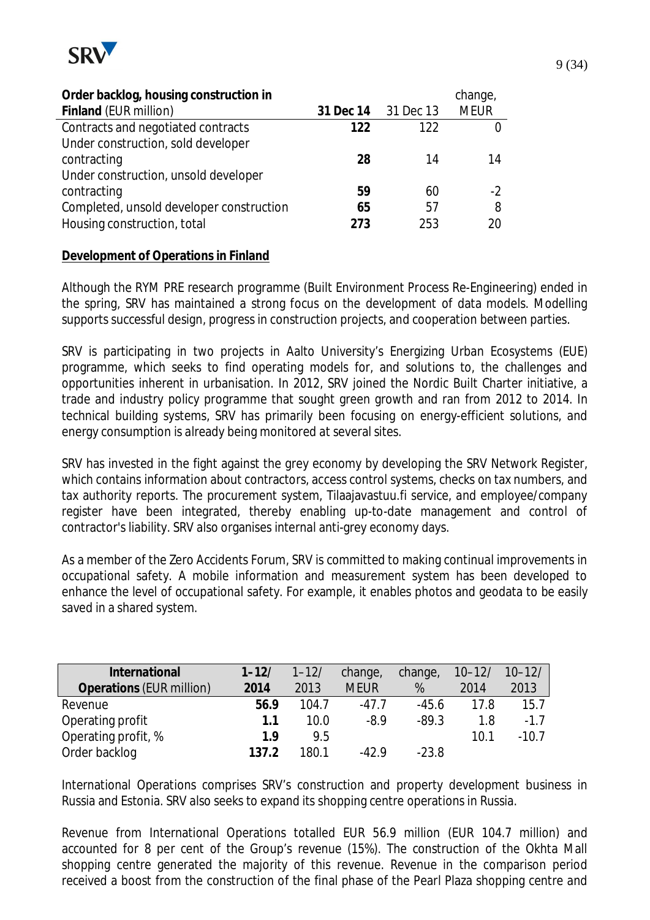

| Order backlog, housing construction in   |           |           | change,     |
|------------------------------------------|-----------|-----------|-------------|
| Finland (EUR million)                    | 31 Dec 14 | 31 Dec 13 | <b>MEUR</b> |
| Contracts and negotiated contracts       | 122       | 122       |             |
| Under construction, sold developer       |           |           |             |
| contracting                              | 28        | 14        | 14          |
| Under construction, unsold developer     |           |           |             |
| contracting                              | 59        | 60        | $-2$        |
| Completed, unsold developer construction | 65        | 57        | 8           |
| Housing construction, total              | 273       | 253       | 20          |

#### **Development of Operations in Finland**

Although the RYM PRE research programme (Built Environment Process Re-Engineering) ended in the spring, SRV has maintained a strong focus on the development of data models. Modelling supports successful design, progress in construction projects, and cooperation between parties.

SRV is participating in two projects in Aalto University's Energizing Urban Ecosystems (EUE) programme, which seeks to find operating models for, and solutions to, the challenges and opportunities inherent in urbanisation. In 2012, SRV joined the Nordic Built Charter initiative, a trade and industry policy programme that sought green growth and ran from 2012 to 2014. In technical building systems, SRV has primarily been focusing on energy-efficient solutions, and energy consumption is already being monitored at several sites.

SRV has invested in the fight against the grey economy by developing the SRV Network Register, which contains information about contractors, access control systems, checks on tax numbers, and tax authority reports. The procurement system, Tilaajavastuu.fi service, and employee/company register have been integrated, thereby enabling up-to-date management and control of contractor's liability. SRV also organises internal anti-grey economy days.

As a member of the Zero Accidents Forum, SRV is committed to making continual improvements in occupational safety. A mobile information and measurement system has been developed to enhance the level of occupational safety. For example, it enables photos and geodata to be easily saved in a shared system.

| International            | $1 - 12/$ | $1 - 12/$ | change,     | change, | $10 - 12/$ | $10 - 12/$ |
|--------------------------|-----------|-----------|-------------|---------|------------|------------|
| Operations (EUR million) | 2014      | 2013      | <b>MEUR</b> | %       | 2014       | 2013       |
| Revenue                  | 56.9      | 104.7     | $-47.7$     | $-45.6$ | 17.8       | 15.7       |
| Operating profit         | 1.1       | 10.0      | $-8.9$      | $-89.3$ | 1.8        | $-1.7$     |
| Operating profit, %      | 1.9       | 9.5       |             |         | 10.1       | $-10.7$    |
| Order backlog            | 137.2     | 180.1     | $-42.9$     | $-23.8$ |            |            |

International Operations comprises SRV's construction and property development business in Russia and Estonia. SRV also seeks to expand its shopping centre operations in Russia.

Revenue from International Operations totalled EUR 56.9 million (EUR 104.7 million) and accounted for 8 per cent of the Group's revenue (15%). The construction of the Okhta Mall shopping centre generated the majority of this revenue. Revenue in the comparison period received a boost from the construction of the final phase of the Pearl Plaza shopping centre and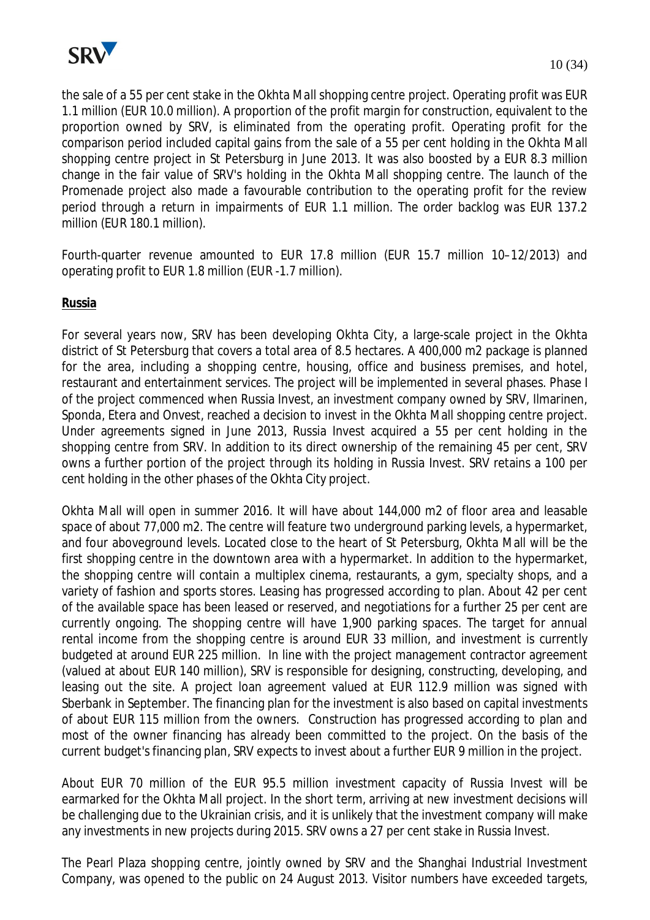

the sale of a 55 per cent stake in the Okhta Mall shopping centre project. Operating profit was EUR 1.1 million (EUR 10.0 million). A proportion of the profit margin for construction, equivalent to the proportion owned by SRV, is eliminated from the operating profit. Operating profit for the comparison period included capital gains from the sale of a 55 per cent holding in the Okhta Mall shopping centre project in St Petersburg in June 2013. It was also boosted by a EUR 8.3 million change in the fair value of SRV's holding in the Okhta Mall shopping centre. The launch of the Promenade project also made a favourable contribution to the operating profit for the review period through a return in impairments of EUR 1.1 million. The order backlog was EUR 137.2 million (EUR 180.1 million).

Fourth-quarter revenue amounted to EUR 17.8 million (EUR 15.7 million 10–12/2013) and operating profit to EUR 1.8 million (EUR -1.7 million).

**Russia**

For several years now, SRV has been developing Okhta City, a large-scale project in the Okhta district of St Petersburg that covers a total area of 8.5 hectares. A 400,000 m2 package is planned for the area, including a shopping centre, housing, office and business premises, and hotel, restaurant and entertainment services. The project will be implemented in several phases. Phase I of the project commenced when Russia Invest, an investment company owned by SRV, Ilmarinen, Sponda, Etera and Onvest, reached a decision to invest in the Okhta Mall shopping centre project. Under agreements signed in June 2013, Russia Invest acquired a 55 per cent holding in the shopping centre from SRV. In addition to its direct ownership of the remaining 45 per cent, SRV owns a further portion of the project through its holding in Russia Invest. SRV retains a 100 per cent holding in the other phases of the Okhta City project.

Okhta Mall will open in summer 2016. It will have about 144,000 m2 of floor area and leasable space of about 77,000 m2. The centre will feature two underground parking levels, a hypermarket, and four aboveground levels. Located close to the heart of St Petersburg, Okhta Mall will be the first shopping centre in the downtown area with a hypermarket. In addition to the hypermarket, the shopping centre will contain a multiplex cinema, restaurants, a gym, specialty shops, and a variety of fashion and sports stores. Leasing has progressed according to plan. About 42 per cent of the available space has been leased or reserved, and negotiations for a further 25 per cent are currently ongoing. The shopping centre will have 1,900 parking spaces. The target for annual rental income from the shopping centre is around EUR 33 million, and investment is currently budgeted at around EUR 225 million. In line with the project management contractor agreement (valued at about EUR 140 million), SRV is responsible for designing, constructing, developing, and leasing out the site. A project loan agreement valued at EUR 112.9 million was signed with Sberbank in September. The financing plan for the investment is also based on capital investments of about EUR 115 million from the owners. Construction has progressed according to plan and most of the owner financing has already been committed to the project. On the basis of the current budget's financing plan, SRV expects to invest about a further EUR 9 million in the project.

About EUR 70 million of the EUR 95.5 million investment capacity of Russia Invest will be earmarked for the Okhta Mall project. In the short term, arriving at new investment decisions will be challenging due to the Ukrainian crisis, and it is unlikely that the investment company will make any investments in new projects during 2015. SRV owns a 27 per cent stake in Russia Invest.

The Pearl Plaza shopping centre, jointly owned by SRV and the Shanghai Industrial Investment Company, was opened to the public on 24 August 2013. Visitor numbers have exceeded targets,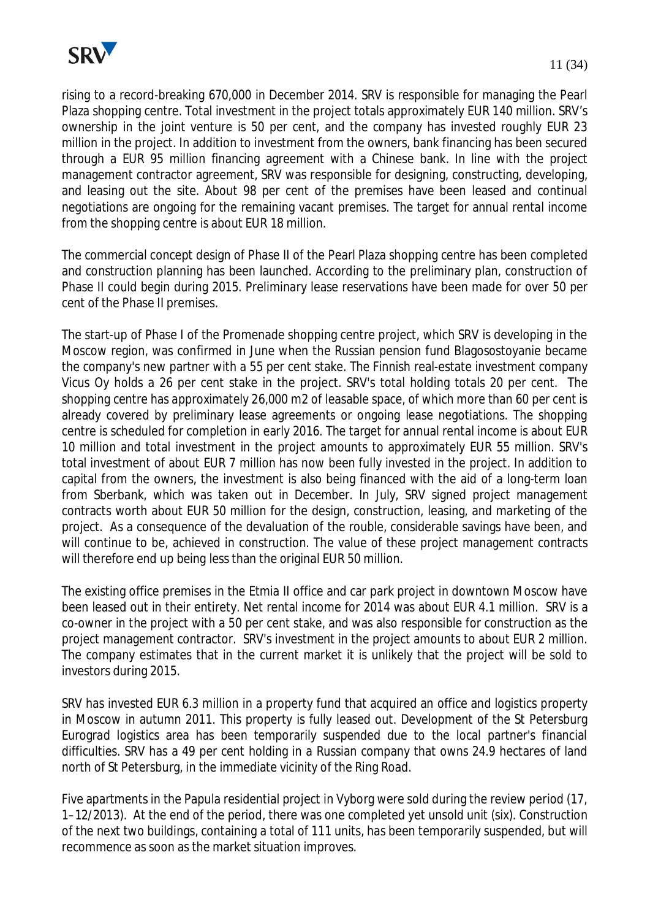

rising to a record-breaking 670,000 in December 2014. SRV is responsible for managing the Pearl Plaza shopping centre. Total investment in the project totals approximately EUR 140 million. SRV's ownership in the joint venture is 50 per cent, and the company has invested roughly EUR 23 million in the project. In addition to investment from the owners, bank financing has been secured through a EUR 95 million financing agreement with a Chinese bank. In line with the project management contractor agreement, SRV was responsible for designing, constructing, developing, and leasing out the site. About 98 per cent of the premises have been leased and continual negotiations are ongoing for the remaining vacant premises. The target for annual rental income from the shopping centre is about EUR 18 million.

The commercial concept design of Phase II of the Pearl Plaza shopping centre has been completed and construction planning has been launched. According to the preliminary plan, construction of Phase II could begin during 2015. Preliminary lease reservations have been made for over 50 per cent of the Phase II premises.

The start-up of Phase I of the Promenade shopping centre project, which SRV is developing in the Moscow region, was confirmed in June when the Russian pension fund Blagosostoyanie became the company's new partner with a 55 per cent stake. The Finnish real-estate investment company Vicus Oy holds a 26 per cent stake in the project. SRV's total holding totals 20 per cent. The shopping centre has approximately 26,000 m2 of leasable space, of which more than 60 per cent is already covered by preliminary lease agreements or ongoing lease negotiations. The shopping centre is scheduled for completion in early 2016. The target for annual rental income is about EUR 10 million and total investment in the project amounts to approximately EUR 55 million. SRV's total investment of about EUR 7 million has now been fully invested in the project. In addition to capital from the owners, the investment is also being financed with the aid of a long-term loan from Sberbank, which was taken out in December. In July, SRV signed project management contracts worth about EUR 50 million for the design, construction, leasing, and marketing of the project. As a consequence of the devaluation of the rouble, considerable savings have been, and will continue to be, achieved in construction. The value of these project management contracts will therefore end up being less than the original EUR 50 million.

The existing office premises in the Etmia II office and car park project in downtown Moscow have been leased out in their entirety. Net rental income for 2014 was about EUR 4.1 million. SRV is a co-owner in the project with a 50 per cent stake, and was also responsible for construction as the project management contractor. SRV's investment in the project amounts to about EUR 2 million. The company estimates that in the current market it is unlikely that the project will be sold to investors during 2015.

SRV has invested EUR 6.3 million in a property fund that acquired an office and logistics property in Moscow in autumn 2011. This property is fully leased out. Development of the St Petersburg Eurograd logistics area has been temporarily suspended due to the local partner's financial difficulties. SRV has a 49 per cent holding in a Russian company that owns 24.9 hectares of land north of St Petersburg, in the immediate vicinity of the Ring Road.

Five apartments in the Papula residential project in Vyborg were sold during the review period (17, 1–12/2013). At the end of the period, there was one completed yet unsold unit (six). Construction of the next two buildings, containing a total of 111 units, has been temporarily suspended, but will recommence as soon as the market situation improves.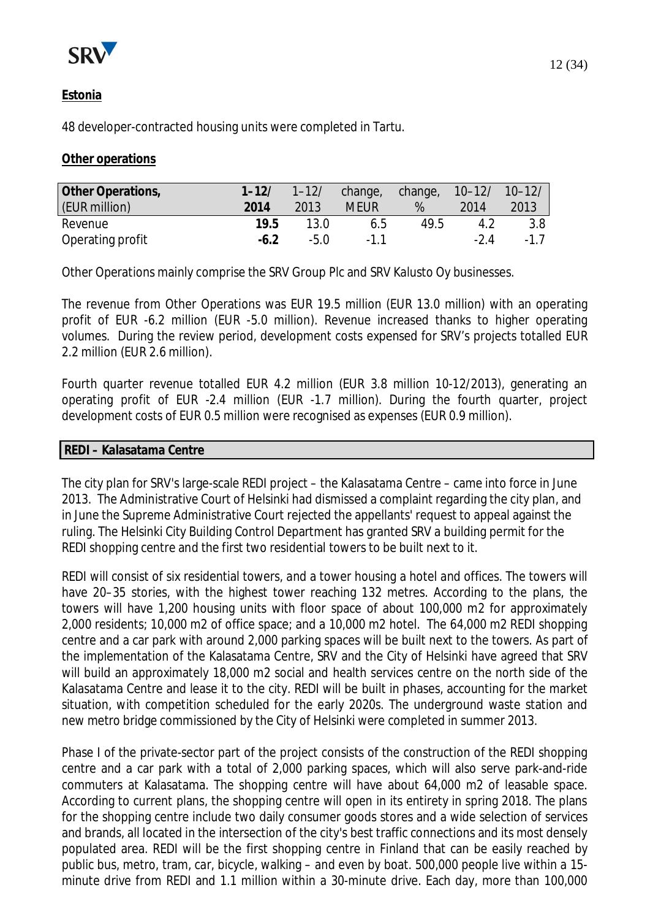

## **Estonia**

48 developer-contracted housing units were completed in Tartu.

#### **Other operations**

| Other Operations, | $1 - 12/$ | $1 - 12/$ | change, change, 10-12/ 10-12/ |      |       |       |
|-------------------|-----------|-----------|-------------------------------|------|-------|-------|
| (EUR million)     | 2014      | 2013      | <b>MEUR</b>                   | %    | 2014  | 2013  |
| Revenue           | 19.5      | 13.0      | 6.5                           | 49.5 | 4.2   | 3.8   |
| Operating profit  | $-6.2$    | $-5.0$    | -11                           |      | $-24$ | $-17$ |

Other Operations mainly comprise the SRV Group Plc and SRV Kalusto Oy businesses.

The revenue from Other Operations was EUR 19.5 million (EUR 13.0 million) with an operating profit of EUR -6.2 million (EUR -5.0 million). Revenue increased thanks to higher operating volumes. During the review period, development costs expensed for SRV's projects totalled EUR 2.2 million (EUR 2.6 million).

Fourth quarter revenue totalled EUR 4.2 million (EUR 3.8 million 10-12/2013), generating an operating profit of EUR -2.4 million (EUR -1.7 million). During the fourth quarter, project development costs of EUR 0.5 million were recognised as expenses (EUR 0.9 million).

#### **REDI – Kalasatama Centre**

The city plan for SRV's large-scale REDI project – the Kalasatama Centre – came into force in June 2013. The Administrative Court of Helsinki had dismissed a complaint regarding the city plan, and in June the Supreme Administrative Court rejected the appellants' request to appeal against the ruling. The Helsinki City Building Control Department has granted SRV a building permit for the REDI shopping centre and the first two residential towers to be built next to it.

REDI will consist of six residential towers, and a tower housing a hotel and offices. The towers will have 20–35 stories, with the highest tower reaching 132 metres. According to the plans, the towers will have 1,200 housing units with floor space of about 100,000 m2 for approximately 2,000 residents; 10,000 m2 of office space; and a 10,000 m2 hotel. The 64,000 m2 REDI shopping centre and a car park with around 2,000 parking spaces will be built next to the towers. As part of the implementation of the Kalasatama Centre, SRV and the City of Helsinki have agreed that SRV will build an approximately 18,000 m2 social and health services centre on the north side of the Kalasatama Centre and lease it to the city. REDI will be built in phases, accounting for the market situation, with competition scheduled for the early 2020s. The underground waste station and new metro bridge commissioned by the City of Helsinki were completed in summer 2013.

Phase I of the private-sector part of the project consists of the construction of the REDI shopping centre and a car park with a total of 2,000 parking spaces, which will also serve park-and-ride commuters at Kalasatama. The shopping centre will have about 64,000 m2 of leasable space. According to current plans, the shopping centre will open in its entirety in spring 2018. The plans for the shopping centre include two daily consumer goods stores and a wide selection of services and brands, all located in the intersection of the city's best traffic connections and its most densely populated area. REDI will be the first shopping centre in Finland that can be easily reached by public bus, metro, tram, car, bicycle, walking – and even by boat. 500,000 people live within a 15 minute drive from REDI and 1.1 million within a 30-minute drive. Each day, more than 100,000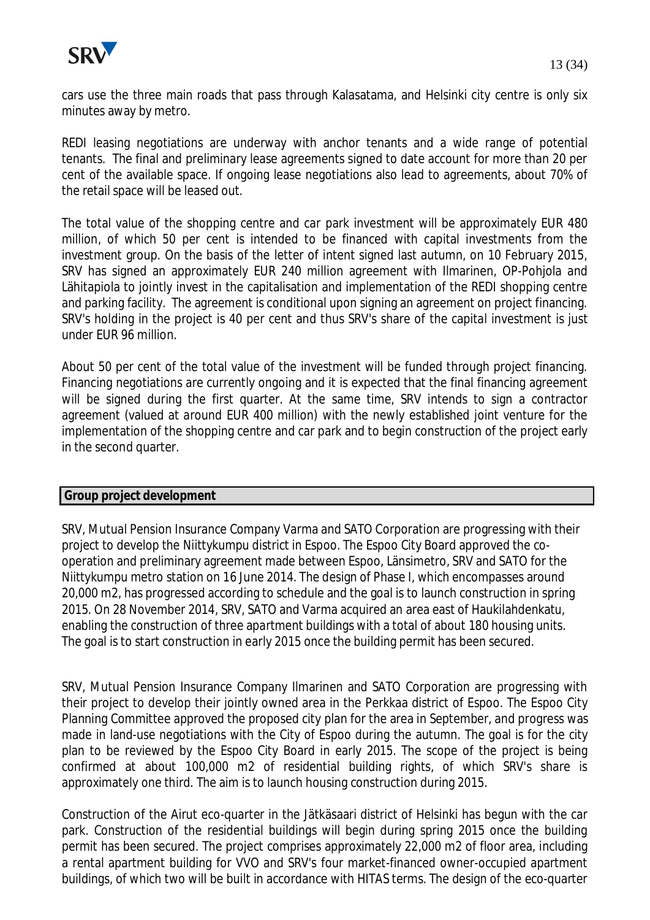

cars use the three main roads that pass through Kalasatama, and Helsinki city centre is only six minutes away by metro.

REDI leasing negotiations are underway with anchor tenants and a wide range of potential tenants. The final and preliminary lease agreements signed to date account for more than 20 per cent of the available space. If ongoing lease negotiations also lead to agreements, about 70% of the retail space will be leased out.

The total value of the shopping centre and car park investment will be approximately EUR 480 million, of which 50 per cent is intended to be financed with capital investments from the investment group. On the basis of the letter of intent signed last autumn, on 10 February 2015, SRV has signed an approximately EUR 240 million agreement with Ilmarinen, OP-Pohjola and Lähitapiola to jointly invest in the capitalisation and implementation of the REDI shopping centre and parking facility. The agreement is conditional upon signing an agreement on project financing. SRV's holding in the project is 40 per cent and thus SRV's share of the capital investment is just under EUR 96 million.

About 50 per cent of the total value of the investment will be funded through project financing. Financing negotiations are currently ongoing and it is expected that the final financing agreement will be signed during the first quarter. At the same time, SRV intends to sign a contractor agreement (valued at around EUR 400 million) with the newly established joint venture for the implementation of the shopping centre and car park and to begin construction of the project early in the second quarter.

#### **Group project development**

SRV, Mutual Pension Insurance Company Varma and SATO Corporation are progressing with their project to develop the Niittykumpu district in Espoo. The Espoo City Board approved the cooperation and preliminary agreement made between Espoo, Länsimetro, SRV and SATO for the Niittykumpu metro station on 16 June 2014. The design of Phase I, which encompasses around 20,000 m2, has progressed according to schedule and the goal is to launch construction in spring 2015. On 28 November 2014, SRV, SATO and Varma acquired an area east of Haukilahdenkatu, enabling the construction of three apartment buildings with a total of about 180 housing units. The goal is to start construction in early 2015 once the building permit has been secured.

SRV, Mutual Pension Insurance Company Ilmarinen and SATO Corporation are progressing with their project to develop their jointly owned area in the Perkkaa district of Espoo. The Espoo City Planning Committee approved the proposed city plan for the area in September, and progress was made in land-use negotiations with the City of Espoo during the autumn. The goal is for the city plan to be reviewed by the Espoo City Board in early 2015. The scope of the project is being confirmed at about 100,000 m2 of residential building rights, of which SRV's share is approximately one third. The aim is to launch housing construction during 2015.

Construction of the Airut eco-quarter in the Jätkäsaari district of Helsinki has begun with the car park. Construction of the residential buildings will begin during spring 2015 once the building permit has been secured. The project comprises approximately 22,000 m2 of floor area, including a rental apartment building for VVO and SRV's four market-financed owner-occupied apartment buildings, of which two will be built in accordance with HITAS terms. The design of the eco-quarter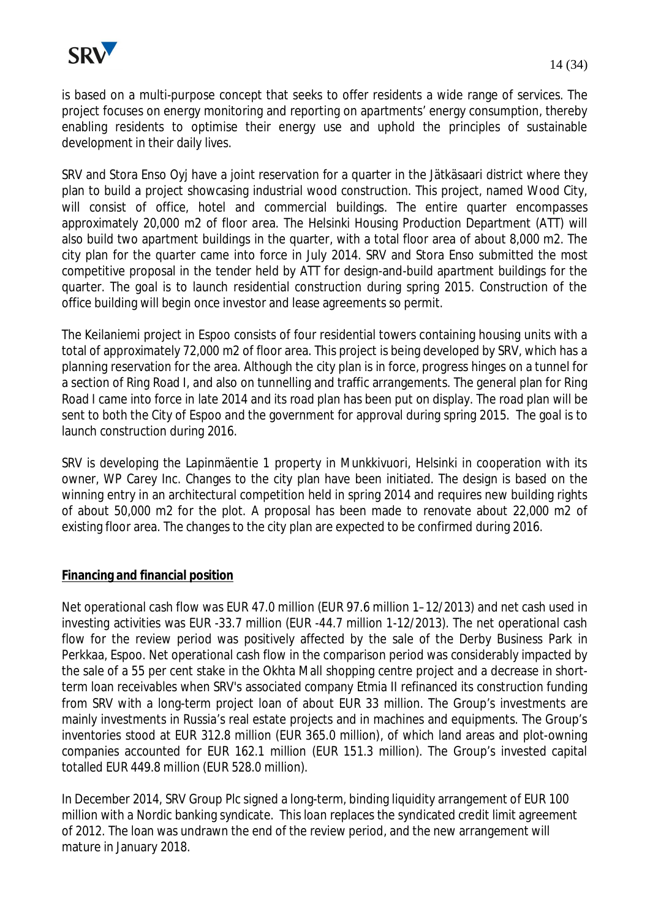

is based on a multi-purpose concept that seeks to offer residents a wide range of services. The project focuses on energy monitoring and reporting on apartments' energy consumption, thereby enabling residents to optimise their energy use and uphold the principles of sustainable development in their daily lives.

SRV and Stora Enso Oyj have a joint reservation for a quarter in the Jätkäsaari district where they plan to build a project showcasing industrial wood construction. This project, named Wood City, will consist of office, hotel and commercial buildings. The entire quarter encompasses approximately 20,000 m2 of floor area. The Helsinki Housing Production Department (ATT) will also build two apartment buildings in the quarter, with a total floor area of about 8,000 m2. The city plan for the quarter came into force in July 2014. SRV and Stora Enso submitted the most competitive proposal in the tender held by ATT for design-and-build apartment buildings for the quarter. The goal is to launch residential construction during spring 2015. Construction of the office building will begin once investor and lease agreements so permit.

The Keilaniemi project in Espoo consists of four residential towers containing housing units with a total of approximately 72,000 m2 of floor area. This project is being developed by SRV, which has a planning reservation for the area. Although the city plan is in force, progress hinges on a tunnel for a section of Ring Road I, and also on tunnelling and traffic arrangements. The general plan for Ring Road I came into force in late 2014 and its road plan has been put on display. The road plan will be sent to both the City of Espoo and the government for approval during spring 2015. The goal is to launch construction during 2016.

SRV is developing the Lapinmäentie 1 property in Munkkivuori, Helsinki in cooperation with its owner, WP Carey Inc. Changes to the city plan have been initiated. The design is based on the winning entry in an architectural competition held in spring 2014 and requires new building rights of about 50,000 m2 for the plot. A proposal has been made to renovate about 22,000 m2 of existing floor area. The changes to the city plan are expected to be confirmed during 2016.

#### **Financing and financial position**

Net operational cash flow was EUR 47.0 million (EUR 97.6 million 1–12/2013) and net cash used in investing activities was EUR -33.7 million (EUR -44.7 million 1-12/2013). The net operational cash flow for the review period was positively affected by the sale of the Derby Business Park in Perkkaa, Espoo. Net operational cash flow in the comparison period was considerably impacted by the sale of a 55 per cent stake in the Okhta Mall shopping centre project and a decrease in shortterm loan receivables when SRV's associated company Etmia II refinanced its construction funding from SRV with a long-term project loan of about EUR 33 million. The Group's investments are mainly investments in Russia's real estate projects and in machines and equipments. The Group's inventories stood at EUR 312.8 million (EUR 365.0 million), of which land areas and plot-owning companies accounted for EUR 162.1 million (EUR 151.3 million). The Group's invested capital totalled EUR 449.8 million (EUR 528.0 million).

In December 2014, SRV Group Plc signed a long-term, binding liquidity arrangement of EUR 100 million with a Nordic banking syndicate. This loan replaces the syndicated credit limit agreement of 2012. The loan was undrawn the end of the review period, and the new arrangement will mature in January 2018.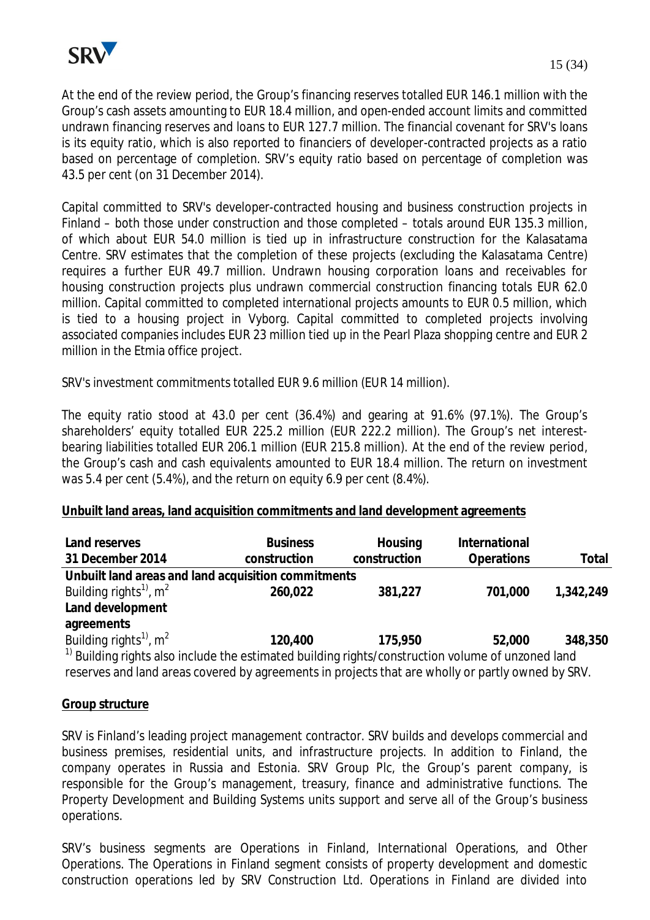

At the end of the review period, the Group's financing reserves totalled EUR 146.1 million with the Group's cash assets amounting to EUR 18.4 million, and open-ended account limits and committed undrawn financing reserves and loans to EUR 127.7 million. The financial covenant for SRV's loans is its equity ratio, which is also reported to financiers of developer-contracted projects as a ratio based on percentage of completion. SRV's equity ratio based on percentage of completion was 43.5 per cent (on 31 December 2014).

Capital committed to SRV's developer-contracted housing and business construction projects in Finland – both those under construction and those completed – totals around EUR 135.3 million, of which about EUR 54.0 million is tied up in infrastructure construction for the Kalasatama Centre. SRV estimates that the completion of these projects (excluding the Kalasatama Centre) requires a further EUR 49.7 million. Undrawn housing corporation loans and receivables for housing construction projects plus undrawn commercial construction financing totals EUR 62.0 million. Capital committed to completed international projects amounts to EUR 0.5 million, which is tied to a housing project in Vyborg. Capital committed to completed projects involving associated companies includes EUR 23 million tied up in the Pearl Plaza shopping centre and EUR 2 million in the Etmia office project.

SRV's investment commitments totalled EUR 9.6 million (EUR 14 million).

The equity ratio stood at 43.0 per cent (36.4%) and gearing at 91.6% (97.1%). The Group's shareholders' equity totalled EUR 225.2 million (EUR 222.2 million). The Group's net interestbearing liabilities totalled EUR 206.1 million (EUR 215.8 million). At the end of the review period, the Group's cash and cash equivalents amounted to EUR 18.4 million. The return on investment was 5.4 per cent (5.4%), and the return on equity 6.9 per cent (8.4%).

#### **Unbuilt land areas, land acquisition commitments and land development agreements**

| Land reserves<br>31 December 2014                                                                            | <b>Business</b><br>construction | Housing<br>construction | International<br>Operations | Total     |  |  |
|--------------------------------------------------------------------------------------------------------------|---------------------------------|-------------------------|-----------------------------|-----------|--|--|
| Unbuilt land areas and land acquisition commitments                                                          |                                 |                         |                             |           |  |  |
| Building rights <sup>1)</sup> , $m^2$                                                                        | 260,022                         | 381,227                 | 701,000                     | 1,342,249 |  |  |
| Land development                                                                                             |                                 |                         |                             |           |  |  |
| agreements                                                                                                   |                                 |                         |                             |           |  |  |
| Building rights <sup>1)</sup> , $m^2$                                                                        | 120,400                         | 175,950                 | 52,000                      | 348,350   |  |  |
| <sup>1)</sup> Building rights also include the estimated building rights/construction volume of unzoned land |                                 |                         |                             |           |  |  |
| reserves and land areas covered by agreements in projects that are wholly or partly owned by SRV.            |                                 |                         |                             |           |  |  |

#### **Group structure**

SRV is Finland's leading project management contractor. SRV builds and develops commercial and business premises, residential units, and infrastructure projects. In addition to Finland, the company operates in Russia and Estonia. SRV Group Plc, the Group's parent company, is responsible for the Group's management, treasury, finance and administrative functions. The Property Development and Building Systems units support and serve all of the Group's business operations.

SRV's business segments are Operations in Finland, International Operations, and Other Operations. The Operations in Finland segment consists of property development and domestic construction operations led by SRV Construction Ltd. Operations in Finland are divided into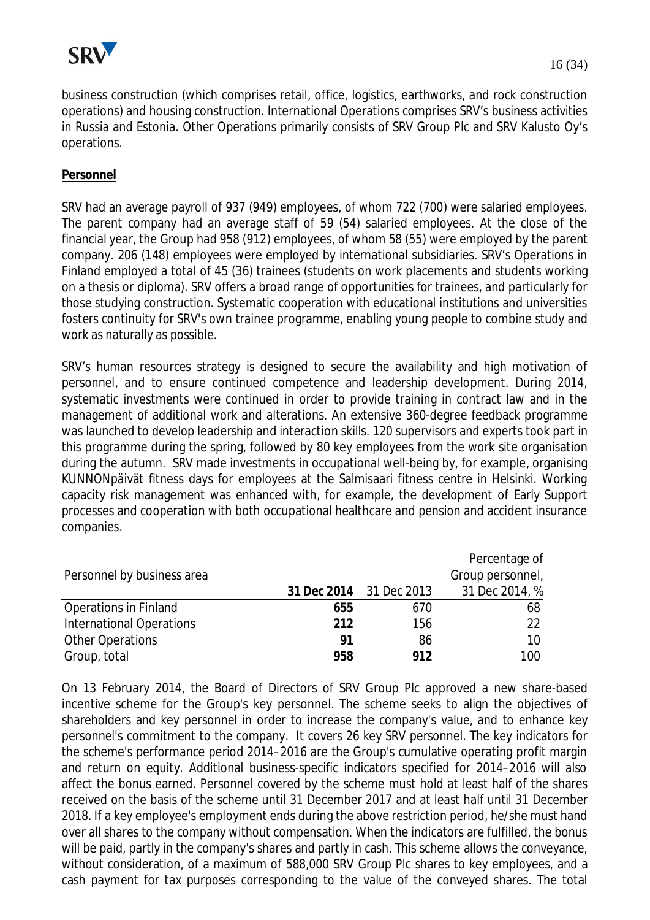

business construction (which comprises retail, office, logistics, earthworks, and rock construction operations) and housing construction. International Operations comprises SRV's business activities in Russia and Estonia. Other Operations primarily consists of SRV Group Plc and SRV Kalusto Oy's operations.

#### **Personnel**

SRV had an average payroll of 937 (949) employees, of whom 722 (700) were salaried employees. The parent company had an average staff of 59 (54) salaried employees. At the close of the financial year, the Group had 958 (912) employees, of whom 58 (55) were employed by the parent company. 206 (148) employees were employed by international subsidiaries. SRV's Operations in Finland employed a total of 45 (36) trainees (students on work placements and students working on a thesis or diploma). SRV offers a broad range of opportunities for trainees, and particularly for those studying construction. Systematic cooperation with educational institutions and universities fosters continuity for SRV's own trainee programme, enabling young people to combine study and work as naturally as possible.

SRV's human resources strategy is designed to secure the availability and high motivation of personnel, and to ensure continued competence and leadership development. During 2014, systematic investments were continued in order to provide training in contract law and in the management of additional work and alterations. An extensive 360-degree feedback programme was launched to develop leadership and interaction skills. 120 supervisors and experts took part in this programme during the spring, followed by 80 key employees from the work site organisation during the autumn. SRV made investments in occupational well-being by, for example, organising KUNNONpäivät fitness days for employees at the Salmisaari fitness centre in Helsinki. Working capacity risk management was enhanced with, for example, the development of Early Support processes and cooperation with both occupational healthcare and pension and accident insurance companies.

|                                 |     |                         | Percentage of    |
|---------------------------------|-----|-------------------------|------------------|
| Personnel by business area      |     |                         | Group personnel, |
|                                 |     | 31 Dec 2014 31 Dec 2013 | 31 Dec 2014, %   |
| <b>Operations in Finland</b>    | 655 | 670                     | 68               |
| <b>International Operations</b> | 212 | 156                     | 22               |
| <b>Other Operations</b>         | 91  | 86                      | 10               |
| Group, total                    | 958 | 912                     | 100              |

On 13 February 2014, the Board of Directors of SRV Group Plc approved a new share-based incentive scheme for the Group's key personnel. The scheme seeks to align the objectives of shareholders and key personnel in order to increase the company's value, and to enhance key personnel's commitment to the company. It covers 26 key SRV personnel. The key indicators for the scheme's performance period 2014–2016 are the Group's cumulative operating profit margin and return on equity. Additional business-specific indicators specified for 2014–2016 will also affect the bonus earned. Personnel covered by the scheme must hold at least half of the shares received on the basis of the scheme until 31 December 2017 and at least half until 31 December 2018. If a key employee's employment ends during the above restriction period, he/she must hand over all shares to the company without compensation. When the indicators are fulfilled, the bonus will be paid, partly in the company's shares and partly in cash. This scheme allows the conveyance, without consideration, of a maximum of 588,000 SRV Group Plc shares to key employees, and a cash payment for tax purposes corresponding to the value of the conveyed shares. The total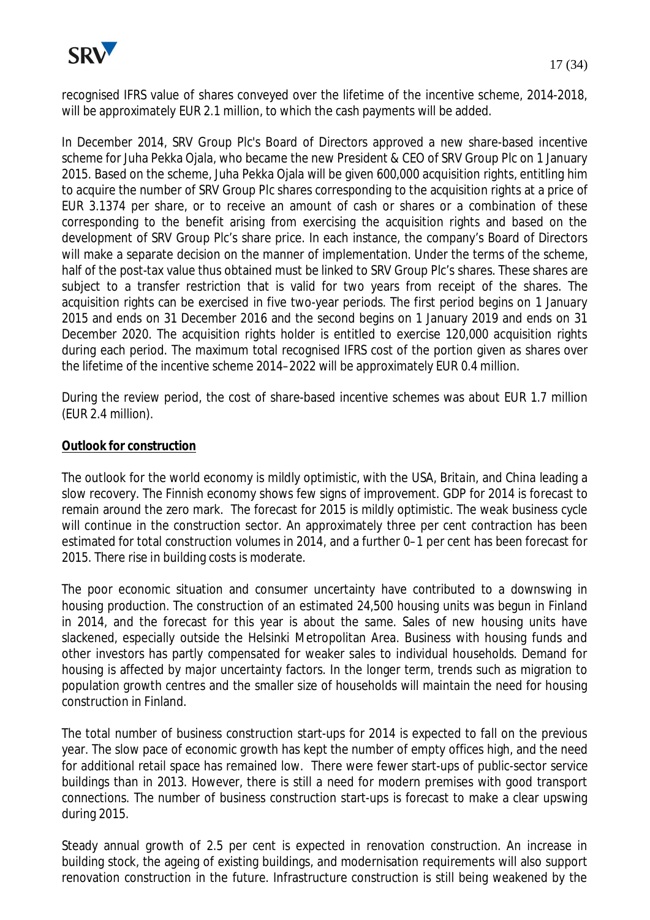

recognised IFRS value of shares conveyed over the lifetime of the incentive scheme, 2014-2018, will be approximately EUR 2.1 million, to which the cash payments will be added.

In December 2014, SRV Group Plc's Board of Directors approved a new share-based incentive scheme for Juha Pekka Ojala, who became the new President & CEO of SRV Group Plc on 1 January 2015. Based on the scheme, Juha Pekka Ojala will be given 600,000 acquisition rights, entitling him to acquire the number of SRV Group Plc shares corresponding to the acquisition rights at a price of EUR 3.1374 per share, or to receive an amount of cash or shares or a combination of these corresponding to the benefit arising from exercising the acquisition rights and based on the development of SRV Group Plc's share price. In each instance, the company's Board of Directors will make a separate decision on the manner of implementation. Under the terms of the scheme, half of the post-tax value thus obtained must be linked to SRV Group Plc's shares. These shares are subject to a transfer restriction that is valid for two years from receipt of the shares. The acquisition rights can be exercised in five two-year periods. The first period begins on 1 January 2015 and ends on 31 December 2016 and the second begins on 1 January 2019 and ends on 31 December 2020. The acquisition rights holder is entitled to exercise 120,000 acquisition rights during each period. The maximum total recognised IFRS cost of the portion given as shares over the lifetime of the incentive scheme 2014–2022 will be approximately EUR 0.4 million.

During the review period, the cost of share-based incentive schemes was about EUR 1.7 million (EUR 2.4 million).

#### **Outlook for construction**

The outlook for the world economy is mildly optimistic, with the USA, Britain, and China leading a slow recovery. The Finnish economy shows few signs of improvement. GDP for 2014 is forecast to remain around the zero mark. The forecast for 2015 is mildly optimistic. The weak business cycle will continue in the construction sector. An approximately three per cent contraction has been estimated for total construction volumes in 2014, and a further 0–1 per cent has been forecast for 2015. There rise in building costs is moderate.

The poor economic situation and consumer uncertainty have contributed to a downswing in housing production. The construction of an estimated 24,500 housing units was begun in Finland in 2014, and the forecast for this year is about the same. Sales of new housing units have slackened, especially outside the Helsinki Metropolitan Area. Business with housing funds and other investors has partly compensated for weaker sales to individual households. Demand for housing is affected by major uncertainty factors. In the longer term, trends such as migration to population growth centres and the smaller size of households will maintain the need for housing construction in Finland.

The total number of business construction start-ups for 2014 is expected to fall on the previous year. The slow pace of economic growth has kept the number of empty offices high, and the need for additional retail space has remained low. There were fewer start-ups of public-sector service buildings than in 2013. However, there is still a need for modern premises with good transport connections. The number of business construction start-ups is forecast to make a clear upswing during 2015.

Steady annual growth of 2.5 per cent is expected in renovation construction. An increase in building stock, the ageing of existing buildings, and modernisation requirements will also support renovation construction in the future. Infrastructure construction is still being weakened by the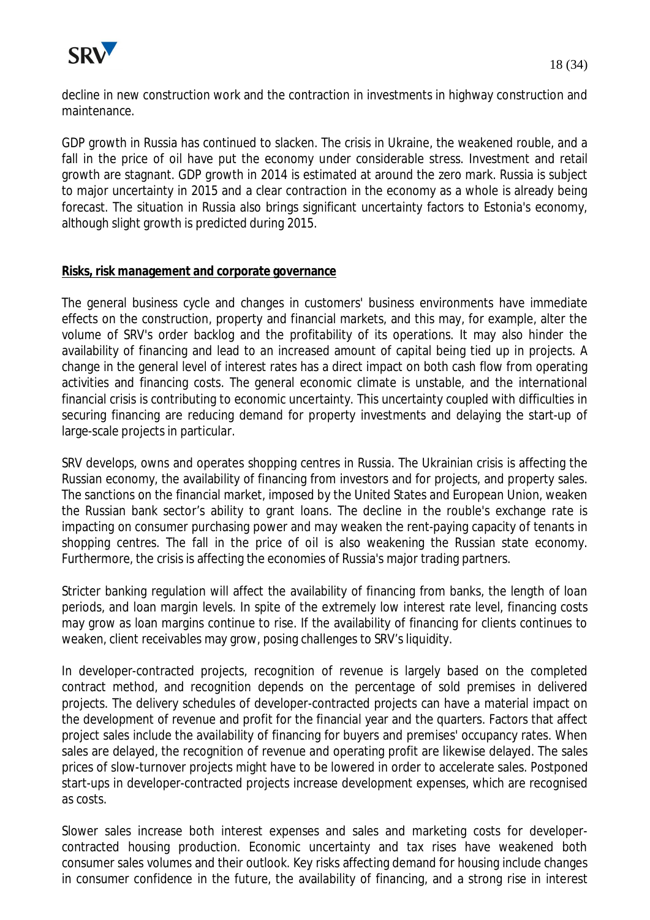

decline in new construction work and the contraction in investments in highway construction and maintenance.

GDP growth in Russia has continued to slacken. The crisis in Ukraine, the weakened rouble, and a fall in the price of oil have put the economy under considerable stress. Investment and retail growth are stagnant. GDP growth in 2014 is estimated at around the zero mark. Russia is subject to major uncertainty in 2015 and a clear contraction in the economy as a whole is already being forecast. The situation in Russia also brings significant uncertainty factors to Estonia's economy, although slight growth is predicted during 2015.

#### **Risks, risk management and corporate governance**

The general business cycle and changes in customers' business environments have immediate effects on the construction, property and financial markets, and this may, for example, alter the volume of SRV's order backlog and the profitability of its operations. It may also hinder the availability of financing and lead to an increased amount of capital being tied up in projects. A change in the general level of interest rates has a direct impact on both cash flow from operating activities and financing costs. The general economic climate is unstable, and the international financial crisis is contributing to economic uncertainty. This uncertainty coupled with difficulties in securing financing are reducing demand for property investments and delaying the start-up of large-scale projects in particular.

SRV develops, owns and operates shopping centres in Russia. The Ukrainian crisis is affecting the Russian economy, the availability of financing from investors and for projects, and property sales. The sanctions on the financial market, imposed by the United States and European Union, weaken the Russian bank sector's ability to grant loans. The decline in the rouble's exchange rate is impacting on consumer purchasing power and may weaken the rent-paying capacity of tenants in shopping centres. The fall in the price of oil is also weakening the Russian state economy. Furthermore, the crisis is affecting the economies of Russia's major trading partners.

Stricter banking regulation will affect the availability of financing from banks, the length of loan periods, and loan margin levels. In spite of the extremely low interest rate level, financing costs may grow as loan margins continue to rise. If the availability of financing for clients continues to weaken, client receivables may grow, posing challenges to SRV's liquidity.

In developer-contracted projects, recognition of revenue is largely based on the completed contract method, and recognition depends on the percentage of sold premises in delivered projects. The delivery schedules of developer-contracted projects can have a material impact on the development of revenue and profit for the financial year and the quarters. Factors that affect project sales include the availability of financing for buyers and premises' occupancy rates. When sales are delayed, the recognition of revenue and operating profit are likewise delayed. The sales prices of slow-turnover projects might have to be lowered in order to accelerate sales. Postponed start-ups in developer-contracted projects increase development expenses, which are recognised as costs.

Slower sales increase both interest expenses and sales and marketing costs for developercontracted housing production. Economic uncertainty and tax rises have weakened both consumer sales volumes and their outlook. Key risks affecting demand for housing include changes in consumer confidence in the future, the availability of financing, and a strong rise in interest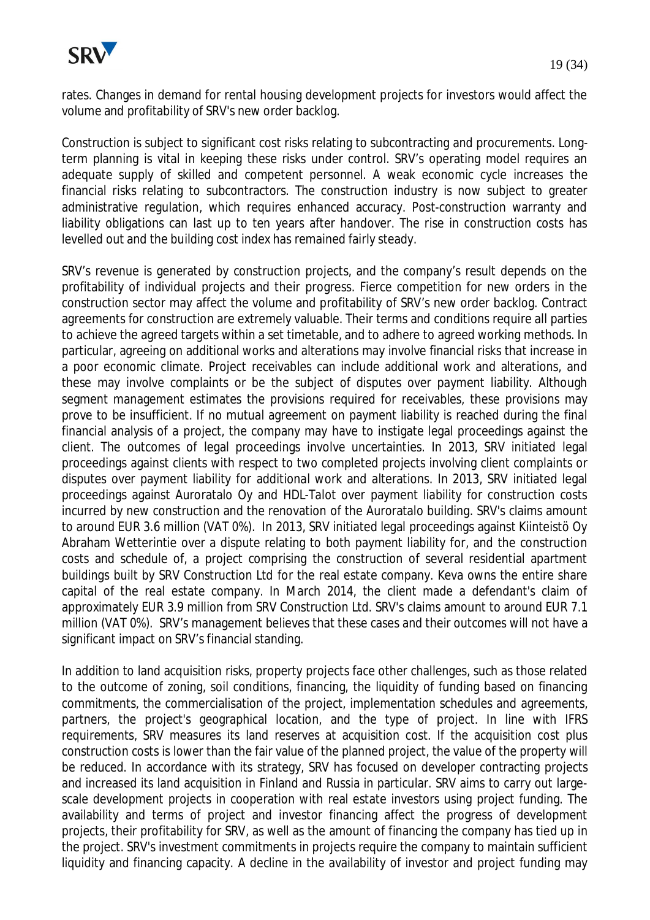rates. Changes in demand for rental housing development projects for investors would affect the volume and profitability of SRV's new order backlog.

Construction is subject to significant cost risks relating to subcontracting and procurements. Longterm planning is vital in keeping these risks under control. SRV's operating model requires an adequate supply of skilled and competent personnel. A weak economic cycle increases the financial risks relating to subcontractors. The construction industry is now subject to greater administrative regulation, which requires enhanced accuracy. Post-construction warranty and liability obligations can last up to ten years after handover. The rise in construction costs has levelled out and the building cost index has remained fairly steady.

SRV's revenue is generated by construction projects, and the company's result depends on the profitability of individual projects and their progress. Fierce competition for new orders in the construction sector may affect the volume and profitability of SRV's new order backlog. Contract agreements for construction are extremely valuable. Their terms and conditions require all parties to achieve the agreed targets within a set timetable, and to adhere to agreed working methods. In particular, agreeing on additional works and alterations may involve financial risks that increase in a poor economic climate. Project receivables can include additional work and alterations, and these may involve complaints or be the subject of disputes over payment liability. Although segment management estimates the provisions required for receivables, these provisions may prove to be insufficient. If no mutual agreement on payment liability is reached during the final financial analysis of a project, the company may have to instigate legal proceedings against the client. The outcomes of legal proceedings involve uncertainties. In 2013, SRV initiated legal proceedings against clients with respect to two completed projects involving client complaints or disputes over payment liability for additional work and alterations. In 2013, SRV initiated legal proceedings against Auroratalo Oy and HDL-Talot over payment liability for construction costs incurred by new construction and the renovation of the Auroratalo building. SRV's claims amount to around EUR 3.6 million (VAT 0%). In 2013, SRV initiated legal proceedings against Kiinteistö Oy Abraham Wetterintie over a dispute relating to both payment liability for, and the construction costs and schedule of, a project comprising the construction of several residential apartment buildings built by SRV Construction Ltd for the real estate company. Keva owns the entire share capital of the real estate company. In March 2014, the client made a defendant's claim of approximately EUR 3.9 million from SRV Construction Ltd. SRV's claims amount to around EUR 7.1 million (VAT 0%). SRV's management believes that these cases and their outcomes will not have a significant impact on SRV's financial standing.

In addition to land acquisition risks, property projects face other challenges, such as those related to the outcome of zoning, soil conditions, financing, the liquidity of funding based on financing commitments, the commercialisation of the project, implementation schedules and agreements, partners, the project's geographical location, and the type of project. In line with IFRS requirements, SRV measures its land reserves at acquisition cost. If the acquisition cost plus construction costs is lower than the fair value of the planned project, the value of the property will be reduced. In accordance with its strategy, SRV has focused on developer contracting projects and increased its land acquisition in Finland and Russia in particular. SRV aims to carry out largescale development projects in cooperation with real estate investors using project funding. The availability and terms of project and investor financing affect the progress of development projects, their profitability for SRV, as well as the amount of financing the company has tied up in the project. SRV's investment commitments in projects require the company to maintain sufficient liquidity and financing capacity. A decline in the availability of investor and project funding may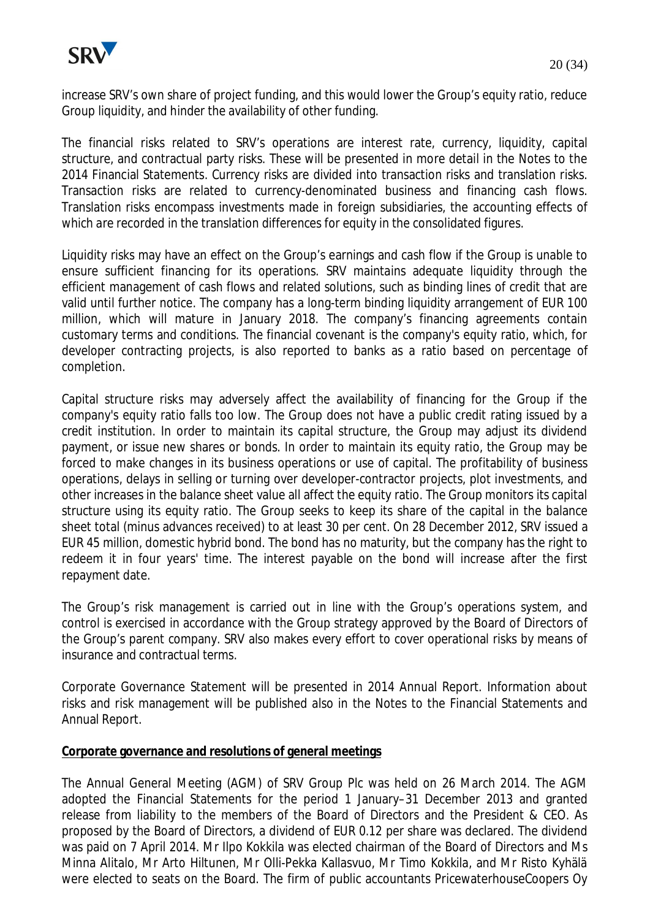

The financial risks related to SRV's operations are interest rate, currency, liquidity, capital structure, and contractual party risks. These will be presented in more detail in the Notes to the 2014 Financial Statements. Currency risks are divided into transaction risks and translation risks. Transaction risks are related to currency-denominated business and financing cash flows. Translation risks encompass investments made in foreign subsidiaries, the accounting effects of which are recorded in the translation differences for equity in the consolidated figures.

Liquidity risks may have an effect on the Group's earnings and cash flow if the Group is unable to ensure sufficient financing for its operations. SRV maintains adequate liquidity through the efficient management of cash flows and related solutions, such as binding lines of credit that are valid until further notice. The company has a long-term binding liquidity arrangement of EUR 100 million, which will mature in January 2018. The company's financing agreements contain customary terms and conditions. The financial covenant is the company's equity ratio, which, for developer contracting projects, is also reported to banks as a ratio based on percentage of completion.

Capital structure risks may adversely affect the availability of financing for the Group if the company's equity ratio falls too low. The Group does not have a public credit rating issued by a credit institution. In order to maintain its capital structure, the Group may adjust its dividend payment, or issue new shares or bonds. In order to maintain its equity ratio, the Group may be forced to make changes in its business operations or use of capital. The profitability of business operations, delays in selling or turning over developer-contractor projects, plot investments, and other increases in the balance sheet value all affect the equity ratio. The Group monitors its capital structure using its equity ratio. The Group seeks to keep its share of the capital in the balance sheet total (minus advances received) to at least 30 per cent. On 28 December 2012, SRV issued a EUR 45 million, domestic hybrid bond. The bond has no maturity, but the company has the right to redeem it in four years' time. The interest payable on the bond will increase after the first repayment date.

The Group's risk management is carried out in line with the Group's operations system, and control is exercised in accordance with the Group strategy approved by the Board of Directors of the Group's parent company. SRV also makes every effort to cover operational risks by means of insurance and contractual terms.

Corporate Governance Statement will be presented in 2014 Annual Report. Information about risks and risk management will be published also in the Notes to the Financial Statements and Annual Report.

#### **Corporate governance and resolutions of general meetings**

The Annual General Meeting (AGM) of SRV Group Plc was held on 26 March 2014. The AGM adopted the Financial Statements for the period 1 January–31 December 2013 and granted release from liability to the members of the Board of Directors and the President & CEO. As proposed by the Board of Directors, a dividend of EUR 0.12 per share was declared. The dividend was paid on 7 April 2014. Mr Ilpo Kokkila was elected chairman of the Board of Directors and Ms Minna Alitalo, Mr Arto Hiltunen, Mr Olli-Pekka Kallasvuo, Mr Timo Kokkila, and Mr Risto Kyhälä were elected to seats on the Board. The firm of public accountants PricewaterhouseCoopers Oy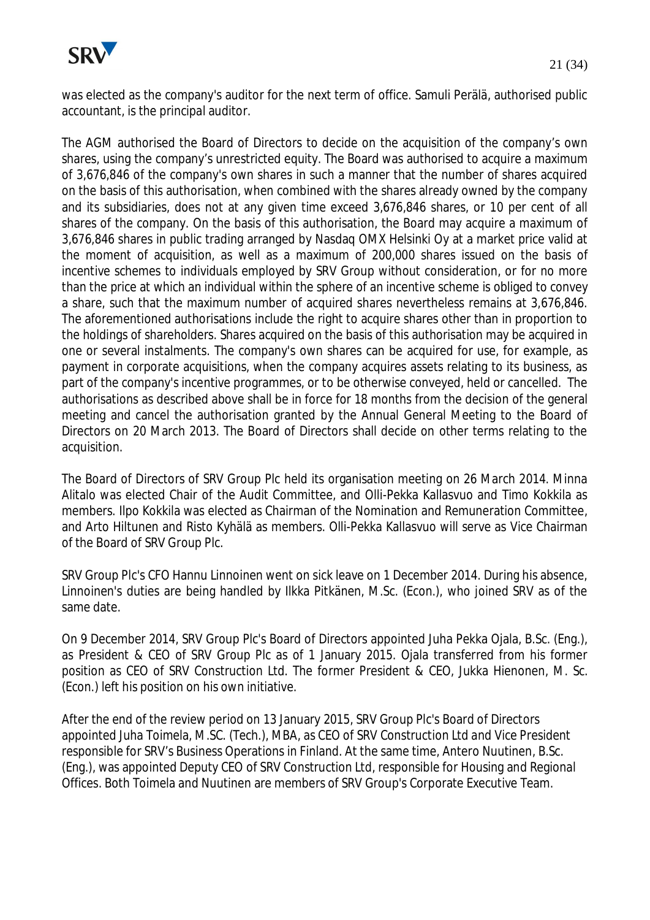

was elected as the company's auditor for the next term of office. Samuli Perälä, authorised public accountant, is the principal auditor.

The AGM authorised the Board of Directors to decide on the acquisition of the company's own shares, using the company's unrestricted equity. The Board was authorised to acquire a maximum of 3,676,846 of the company's own shares in such a manner that the number of shares acquired on the basis of this authorisation, when combined with the shares already owned by the company and its subsidiaries, does not at any given time exceed 3,676,846 shares, or 10 per cent of all shares of the company. On the basis of this authorisation, the Board may acquire a maximum of 3,676,846 shares in public trading arranged by Nasdaq OMX Helsinki Oy at a market price valid at the moment of acquisition, as well as a maximum of 200,000 shares issued on the basis of incentive schemes to individuals employed by SRV Group without consideration, or for no more than the price at which an individual within the sphere of an incentive scheme is obliged to convey a share, such that the maximum number of acquired shares nevertheless remains at 3,676,846. The aforementioned authorisations include the right to acquire shares other than in proportion to the holdings of shareholders. Shares acquired on the basis of this authorisation may be acquired in one or several instalments. The company's own shares can be acquired for use, for example, as payment in corporate acquisitions, when the company acquires assets relating to its business, as part of the company's incentive programmes, or to be otherwise conveyed, held or cancelled. The authorisations as described above shall be in force for 18 months from the decision of the general meeting and cancel the authorisation granted by the Annual General Meeting to the Board of Directors on 20 March 2013. The Board of Directors shall decide on other terms relating to the acquisition.

The Board of Directors of SRV Group Plc held its organisation meeting on 26 March 2014. Minna Alitalo was elected Chair of the Audit Committee, and Olli-Pekka Kallasvuo and Timo Kokkila as members. Ilpo Kokkila was elected as Chairman of the Nomination and Remuneration Committee, and Arto Hiltunen and Risto Kyhälä as members. Olli-Pekka Kallasvuo will serve as Vice Chairman of the Board of SRV Group Plc.

SRV Group Plc's CFO Hannu Linnoinen went on sick leave on 1 December 2014. During his absence, Linnoinen's duties are being handled by Ilkka Pitkänen, M.Sc. (Econ.), who joined SRV as of the same date.

On 9 December 2014, SRV Group Plc's Board of Directors appointed Juha Pekka Ojala, B.Sc. (Eng.), as President & CEO of SRV Group Plc as of 1 January 2015. Ojala transferred from his former position as CEO of SRV Construction Ltd. The former President & CEO, Jukka Hienonen, M. Sc. (Econ.) left his position on his own initiative.

After the end of the review period on 13 January 2015, SRV Group Plc's Board of Directors appointed Juha Toimela, M.SC. (Tech.), MBA, as CEO of SRV Construction Ltd and Vice President responsible for SRV's Business Operations in Finland. At the same time, Antero Nuutinen, B.Sc. (Eng.), was appointed Deputy CEO of SRV Construction Ltd, responsible for Housing and Regional Offices. Both Toimela and Nuutinen are members of SRV Group's Corporate Executive Team.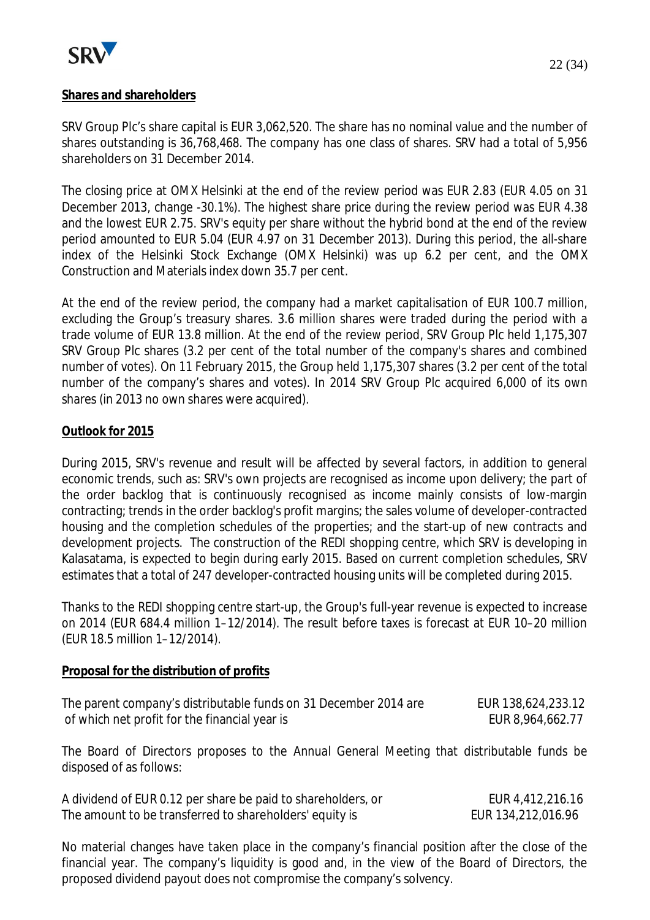

22 (34)

## **Shares and shareholders**

SRV Group Plc's share capital is EUR 3,062,520. The share has no nominal value and the number of shares outstanding is 36,768,468. The company has one class of shares. SRV had a total of 5,956 shareholders on 31 December 2014.

The closing price at OMX Helsinki at the end of the review period was EUR 2.83 (EUR 4.05 on 31 December 2013, change -30.1%). The highest share price during the review period was EUR 4.38 and the lowest EUR 2.75. SRV's equity per share without the hybrid bond at the end of the review period amounted to EUR 5.04 (EUR 4.97 on 31 December 2013). During this period, the all-share index of the Helsinki Stock Exchange (OMX Helsinki) was up 6.2 per cent, and the OMX Construction and Materials index down 35.7 per cent.

At the end of the review period, the company had a market capitalisation of EUR 100.7 million, excluding the Group's treasury shares. 3.6 million shares were traded during the period with a trade volume of EUR 13.8 million. At the end of the review period, SRV Group Plc held 1,175,307 SRV Group Plc shares (3.2 per cent of the total number of the company's shares and combined number of votes). On 11 February 2015, the Group held 1,175,307 shares (3.2 per cent of the total number of the company's shares and votes). In 2014 SRV Group Plc acquired 6,000 of its own shares (in 2013 no own shares were acquired).

## **Outlook for 2015**

During 2015, SRV's revenue and result will be affected by several factors, in addition to general economic trends, such as: SRV's own projects are recognised as income upon delivery; the part of the order backlog that is continuously recognised as income mainly consists of low-margin contracting; trends in the order backlog's profit margins; the sales volume of developer-contracted housing and the completion schedules of the properties; and the start-up of new contracts and development projects. The construction of the REDI shopping centre, which SRV is developing in Kalasatama, is expected to begin during early 2015. Based on current completion schedules, SRV estimates that a total of 247 developer-contracted housing units will be completed during 2015.

Thanks to the REDI shopping centre start-up, the Group's full-year revenue is expected to increase on 2014 (EUR 684.4 million 1–12/2014). The result before taxes is forecast at EUR 10–20 million (EUR 18.5 million 1–12/2014).

#### **Proposal for the distribution of profits**

| The parent company's distributable funds on 31 December 2014 are | EUR 138,624,233.12 |
|------------------------------------------------------------------|--------------------|
| of which net profit for the financial year is                    | EUR 8,964,662.77   |

The Board of Directors proposes to the Annual General Meeting that distributable funds be disposed of as follows:

| A dividend of EUR 0.12 per share be paid to shareholders, or | EUR 4,412,216.16   |
|--------------------------------------------------------------|--------------------|
| The amount to be transferred to shareholders' equity is      | EUR 134,212,016.96 |

No material changes have taken place in the company's financial position after the close of the financial year. The company's liquidity is good and, in the view of the Board of Directors, the proposed dividend payout does not compromise the company's solvency.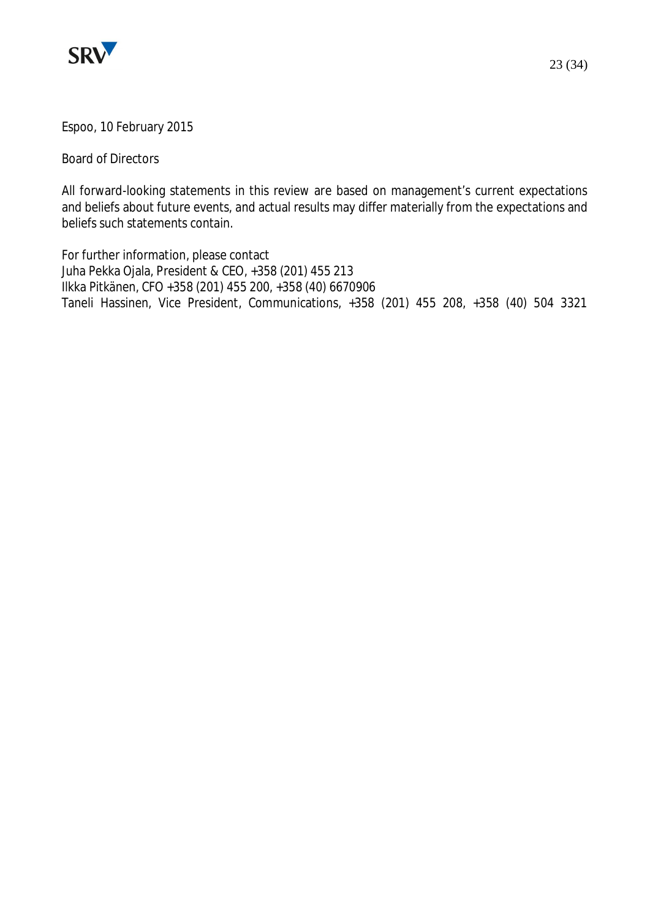

Board of Directors

All forward-looking statements in this review are based on management's current expectations and beliefs about future events, and actual results may differ materially from the expectations and beliefs such statements contain.

For further information, please contact Juha Pekka Ojala, President & CEO, +358 (201) 455 213 Ilkka Pitkänen, CFO +358 (201) 455 200, +358 (40) 6670906 Taneli Hassinen, Vice President, Communications, +358 (201) 455 208, +358 (40) 504 3321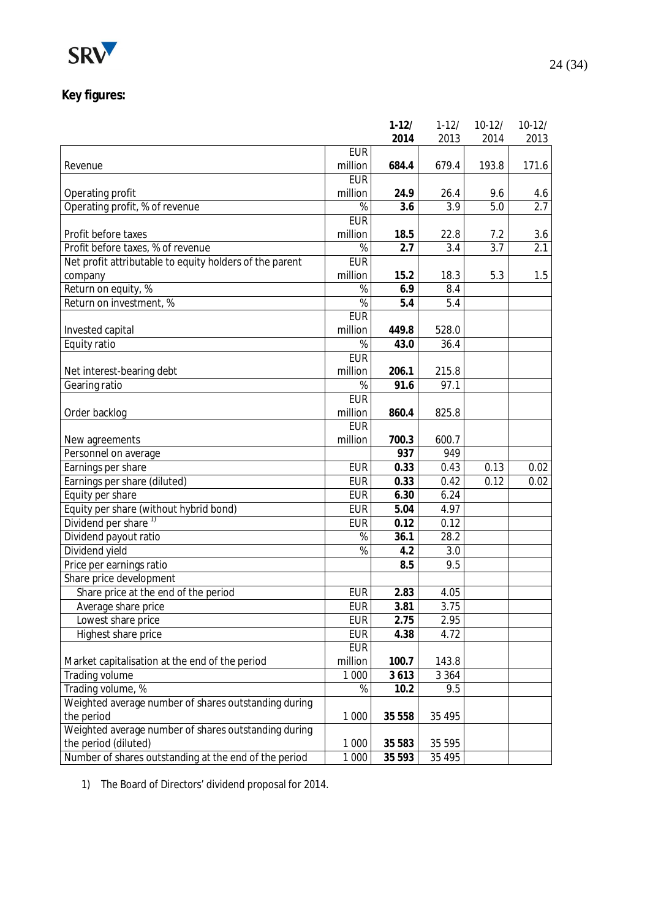

## **Key figures:**

|                                                         |                 | $1-12/$ | $1 - 12/$ | $10-12/$ | $10-12/$ |
|---------------------------------------------------------|-----------------|---------|-----------|----------|----------|
|                                                         |                 | 2014    | 2013      | 2014     | 2013     |
|                                                         | <b>EUR</b>      |         |           |          |          |
| Revenue                                                 | million         | 684.4   | 679.4     | 193.8    | 171.6    |
|                                                         | <b>EUR</b>      |         |           |          |          |
| Operating profit                                        | million         | 24.9    | 26.4      | 9.6      | 4.6      |
| Operating profit, % of revenue                          | %               | 3.6     | 3.9       | 5.0      | 2.7      |
|                                                         | <b>EUR</b>      |         |           |          |          |
| Profit before taxes                                     | million         | 18.5    | 22.8      | 7.2      | 3.6      |
| Profit before taxes, % of revenue                       | %               | 2.7     | 3.4       | 3.7      | 2.1      |
| Net profit attributable to equity holders of the parent | <b>EUR</b>      |         |           |          |          |
| company                                                 | million         | 15.2    | 18.3      | 5.3      | 1.5      |
| Return on equity, %                                     | $\overline{\%}$ | 6.9     | 8.4       |          |          |
| Return on investment, %                                 | %               | 5.4     | 5.4       |          |          |
|                                                         | <b>EUR</b>      |         |           |          |          |
| Invested capital                                        | million         | 449.8   | 528.0     |          |          |
| Equity ratio                                            | %               | 43.0    | 36.4      |          |          |
|                                                         | <b>EUR</b>      |         |           |          |          |
| Net interest-bearing debt                               | million         | 206.1   | 215.8     |          |          |
| Gearing ratio                                           | %               | 91.6    | 97.1      |          |          |
|                                                         | <b>EUR</b>      |         |           |          |          |
| Order backlog                                           | million         | 860.4   | 825.8     |          |          |
|                                                         | <b>EUR</b>      |         |           |          |          |
| New agreements                                          | million         | 700.3   | 600.7     |          |          |
| Personnel on average                                    |                 | 937     | 949       |          |          |
| Earnings per share                                      | <b>EUR</b>      | 0.33    | 0.43      | 0.13     | 0.02     |
| Earnings per share (diluted)                            | <b>EUR</b>      | 0.33    | 0.42      | 0.12     | 0.02     |
| Equity per share                                        | <b>EUR</b>      | 6.30    | 6.24      |          |          |
| Equity per share (without hybrid bond)                  | <b>EUR</b>      | 5.04    | 4.97      |          |          |
| Dividend per share <sup>1)</sup>                        | <b>EUR</b>      | 0.12    | 0.12      |          |          |
| Dividend payout ratio                                   | $\frac{1}{6}$   | 36.1    | 28.2      |          |          |
| Dividend yield                                          | %               | 4.2     | 3.0       |          |          |
| Price per earnings ratio                                |                 | 8.5     | 9.5       |          |          |
| Share price development                                 |                 |         |           |          |          |
| Share price at the end of the period                    | <b>EUR</b>      | 2.83    | 4.05      |          |          |
| Average share price                                     | <b>EUR</b>      | 3.81    | 3.75      |          |          |
| Lowest share price                                      | <b>EUR</b>      | 2.75    | 2.95      |          |          |
| Highest share price                                     | <b>EUR</b>      | 4.38    | 4.72      |          |          |
|                                                         | <b>EUR</b>      |         |           |          |          |
| Market capitalisation at the end of the period          | million         | 100.7   | 143.8     |          |          |
| Trading volume                                          | 1 000           | 3613    | 3 3 6 4   |          |          |
| Trading volume, %                                       | %               | 10.2    | 9.5       |          |          |
| Weighted average number of shares outstanding during    |                 |         |           |          |          |
| the period                                              | 1 0 0 0         | 35 558  | 35 4 95   |          |          |
| Weighted average number of shares outstanding during    |                 |         |           |          |          |
| the period (diluted)                                    | 1 0 0 0         | 35 583  | 35 5 95   |          |          |
| Number of shares outstanding at the end of the period   | 1 0 0 0         | 35 593  | 35 4 95   |          |          |
|                                                         |                 |         |           |          |          |

1) The Board of Directors' dividend proposal for 2014.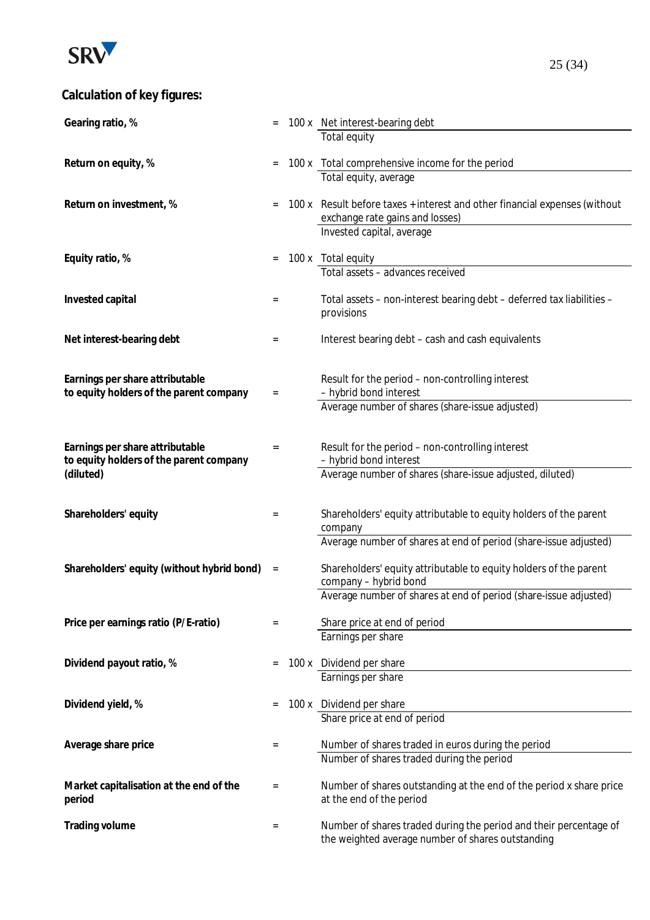

# **Calculation of key figures:**

| Gearing ratio, %                           |          | 100 x Net interest-bearing debt                                            |
|--------------------------------------------|----------|----------------------------------------------------------------------------|
|                                            |          | Total equity                                                               |
|                                            |          |                                                                            |
| Return on equity, %                        |          | 100 x Total comprehensive income for the period                            |
|                                            |          | Total equity, average                                                      |
| Return on investment, %                    |          | 100 x Result before taxes + interest and other financial expenses (without |
|                                            |          | exchange rate gains and losses)                                            |
|                                            |          | Invested capital, average                                                  |
|                                            |          |                                                                            |
| Equity ratio, %                            | $=$      | 100 x Total equity                                                         |
|                                            |          | Total assets - advances received                                           |
|                                            |          |                                                                            |
| Invested capital                           | $=$      | Total assets - non-interest bearing debt - deferred tax liabilities -      |
|                                            |          | provisions                                                                 |
| Net interest-bearing debt                  | $=$      | Interest bearing debt - cash and cash equivalents                          |
|                                            |          |                                                                            |
|                                            |          |                                                                            |
| Earnings per share attributable            |          | Result for the period - non-controlling interest                           |
| to equity holders of the parent company    | $\equiv$ | - hybrid bond interest                                                     |
|                                            |          | Average number of shares (share-issue adjusted)                            |
|                                            |          |                                                                            |
| Earnings per share attributable            | $=$      | Result for the period - non-controlling interest                           |
| to equity holders of the parent company    |          | - hybrid bond interest                                                     |
| (diluted)                                  |          | Average number of shares (share-issue adjusted, diluted)                   |
|                                            |          |                                                                            |
|                                            |          |                                                                            |
| Shareholders' equity                       | $=$      | Shareholders' equity attributable to equity holders of the parent          |
|                                            |          | company                                                                    |
|                                            |          | Average number of shares at end of period (share-issue adjusted)           |
| Shareholders' equity (without hybrid bond) | $\equiv$ | Shareholders' equity attributable to equity holders of the parent          |
|                                            |          | company - hybrid bond                                                      |
|                                            |          | Average number of shares at end of period (share-issue adjusted)           |
|                                            |          |                                                                            |
| Price per earnings ratio (P/E-ratio)       | $=$      | Share price at end of period                                               |
|                                            |          | Earnings per share                                                         |
| Dividend payout ratio, %                   |          |                                                                            |
|                                            |          | 100 x Dividend per share<br>Earnings per share                             |
|                                            |          |                                                                            |
| Dividend yield, %                          |          | 100 x Dividend per share                                                   |
|                                            |          | Share price at end of period                                               |
|                                            |          |                                                                            |
| Average share price                        | $=$      | Number of shares traded in euros during the period                         |
|                                            |          | Number of shares traded during the period                                  |
|                                            |          |                                                                            |
| Market capitalisation at the end of the    | $=$      | Number of shares outstanding at the end of the period x share price        |
| period                                     |          | at the end of the period                                                   |
| Trading volume                             | $=$      | Number of shares traded during the period and their percentage of          |
|                                            |          | the weighted average number of shares outstanding                          |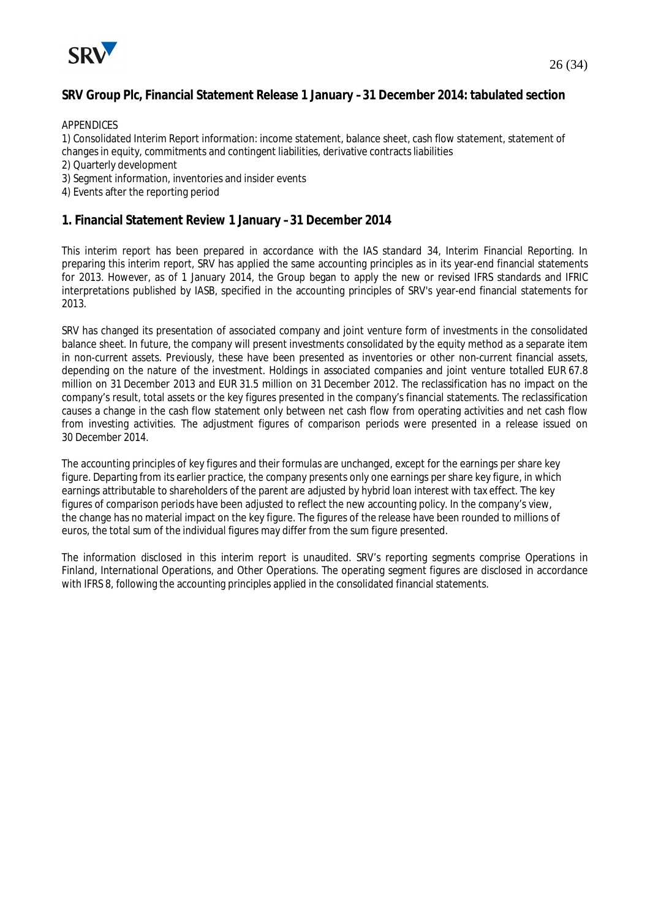

#### **SRV Group Plc, Financial Statement Release 1 January –31 December 2014: tabulated section**

APPENDICES

1) Consolidated Interim Report information: income statement, balance sheet, cash flow statement, statement of changes in equity, commitments and contingent liabilities, derivative contracts liabilities

- 2) Quarterly development
- 3) Segment information, inventories and insider events
- 4) Events after the reporting period

#### **1. Financial Statement Review 1 January –31 December 2014**

This interim report has been prepared in accordance with the IAS standard 34, Interim Financial Reporting. In preparing this interim report, SRV has applied the same accounting principles as in its year-end financial statements for 2013. However, as of 1 January 2014, the Group began to apply the new or revised IFRS standards and IFRIC interpretations published by IASB, specified in the accounting principles of SRV's year-end financial statements for 2013.

SRV has changed its presentation of associated company and joint venture form of investments in the consolidated balance sheet. In future, the company will present investments consolidated by the equity method as a separate item in non-current assets. Previously, these have been presented as inventories or other non-current financial assets, depending on the nature of the investment. Holdings in associated companies and joint venture totalled EUR 67.8 million on 31 December 2013 and EUR 31.5 million on 31 December 2012. The reclassification has no impact on the company's result, total assets or the key figures presented in the company's financial statements. The reclassification causes a change in the cash flow statement only between net cash flow from operating activities and net cash flow from investing activities. The adjustment figures of comparison periods were presented in a release issued on 30 December 2014.

The accounting principles of key figures and their formulas are unchanged, except for the earnings per share key figure. Departing from its earlier practice, the company presents only one earnings per share key figure, in which earnings attributable to shareholders of the parent are adjusted by hybrid loan interest with tax effect. The key figures of comparison periods have been adjusted to reflect the new accounting policy. In the company's view, the change has no material impact on the key figure. The figures of the release have been rounded to millions of euros, the total sum of the individual figures may differ from the sum figure presented.

The information disclosed in this interim report is unaudited. SRV's reporting segments comprise Operations in Finland, International Operations, and Other Operations. The operating segment figures are disclosed in accordance with IFRS 8, following the accounting principles applied in the consolidated financial statements.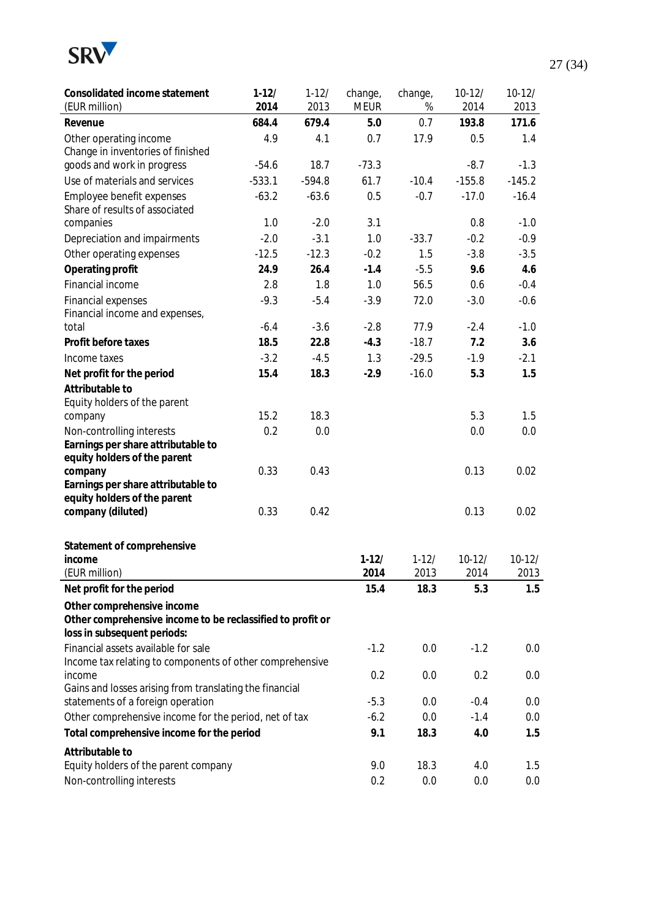

| Consolidated income statement<br>(EUR million)                                            | $1 - 12/$<br>2014 | $1 - 12/$<br>2013 | change,<br><b>MEUR</b> | change,<br>% | $10-12/$<br>2014 | $10-12/$<br>2013 |
|-------------------------------------------------------------------------------------------|-------------------|-------------------|------------------------|--------------|------------------|------------------|
| Revenue                                                                                   | 684.4             | 679.4             | 5.0                    | 0.7          | 193.8            | 171.6            |
| Other operating income                                                                    | 4.9               | 4.1               | 0.7                    | 17.9         | 0.5              | 1.4              |
| Change in inventories of finished                                                         |                   |                   |                        |              |                  |                  |
| goods and work in progress                                                                | $-54.6$           | 18.7              | $-73.3$                |              | $-8.7$           | $-1.3$           |
| Use of materials and services                                                             | $-533.1$          | $-594.8$          | 61.7                   | $-10.4$      | $-155.8$         | $-145.2$         |
| Employee benefit expenses                                                                 | $-63.2$           | $-63.6$           | 0.5                    | $-0.7$       | $-17.0$          | $-16.4$          |
| Share of results of associated<br>companies                                               | 1.0               | $-2.0$            | 3.1                    |              | 0.8              | $-1.0$           |
| Depreciation and impairments                                                              | $-2.0$            | $-3.1$            | 1.0                    | $-33.7$      | $-0.2$           | $-0.9$           |
| Other operating expenses                                                                  | $-12.5$           | $-12.3$           | $-0.2$                 | 1.5          | $-3.8$           | $-3.5$           |
| Operating profit                                                                          | 24.9              | 26.4              | $-1.4$                 | $-5.5$       | 9.6              | 4.6              |
| Financial income                                                                          | 2.8               | 1.8               | 1.0                    | 56.5         | 0.6              | $-0.4$           |
| Financial expenses                                                                        | $-9.3$            | $-5.4$            | $-3.9$                 | 72.0         | $-3.0$           | $-0.6$           |
| Financial income and expenses,                                                            |                   |                   |                        |              |                  |                  |
| total                                                                                     | $-6.4$            | $-3.6$            | $-2.8$                 | 77.9         | $-2.4$           | $-1.0$           |
| Profit before taxes                                                                       | 18.5              | 22.8              | $-4.3$                 | $-18.7$      | 7.2              | 3.6              |
| Income taxes                                                                              | $-3.2$            | $-4.5$            | 1.3                    | $-29.5$      | $-1.9$           | $-2.1$           |
| Net profit for the period                                                                 | 15.4              | 18.3              | $-2.9$                 | $-16.0$      | 5.3              | 1.5              |
| Attributable to                                                                           |                   |                   |                        |              |                  |                  |
| Equity holders of the parent                                                              |                   |                   |                        |              |                  |                  |
| company                                                                                   | 15.2              | 18.3              |                        |              | 5.3              | 1.5              |
| Non-controlling interests                                                                 | 0.2               | 0.0               |                        |              | 0.0              | 0.0              |
| Earnings per share attributable to<br>equity holders of the parent                        |                   |                   |                        |              |                  |                  |
| company                                                                                   | 0.33              | 0.43              |                        |              | 0.13             | 0.02             |
| Earnings per share attributable to                                                        |                   |                   |                        |              |                  |                  |
| equity holders of the parent                                                              |                   |                   |                        |              |                  |                  |
| company (diluted)                                                                         | 0.33              | 0.42              |                        |              | 0.13             | 0.02             |
| Statement of comprehensive                                                                |                   |                   |                        |              |                  |                  |
| income                                                                                    |                   |                   | $1-12/$                | $1 - 12/$    | $10-12/$         | $10-12/$         |
| (EUR million)                                                                             |                   |                   | 2014                   | 2013         | 2014             | 2013             |
| Net profit for the period                                                                 |                   |                   | 15.4                   | 18.3         | 5.3              | 1.5              |
| Other comprehensive income                                                                |                   |                   |                        |              |                  |                  |
| Other comprehensive income to be reclassified to profit or<br>loss in subsequent periods: |                   |                   |                        |              |                  |                  |
| Financial assets available for sale                                                       |                   |                   | $-1.2$                 | 0.0          | $-1.2$           | 0.0              |
| Income tax relating to components of other comprehensive                                  |                   |                   |                        |              |                  |                  |
| income                                                                                    |                   |                   | 0.2                    | 0.0          | 0.2              | 0.0              |
| Gains and losses arising from translating the financial                                   |                   |                   |                        |              |                  |                  |
| statements of a foreign operation                                                         |                   |                   | $-5.3$                 | 0.0          | $-0.4$           | 0.0              |
| Other comprehensive income for the period, net of tax                                     |                   |                   | $-6.2$                 | 0.0          | $-1.4$           | 0.0              |
| Total comprehensive income for the period                                                 |                   |                   | 9.1                    | 18.3         | 4.0              | 1.5              |
| Attributable to                                                                           |                   |                   |                        |              |                  |                  |
| Equity holders of the parent company                                                      |                   |                   | 9.0                    | 18.3         | 4.0              | 1.5              |
| Non-controlling interests                                                                 |                   |                   | 0.2                    | 0.0          | 0.0              | 0.0              |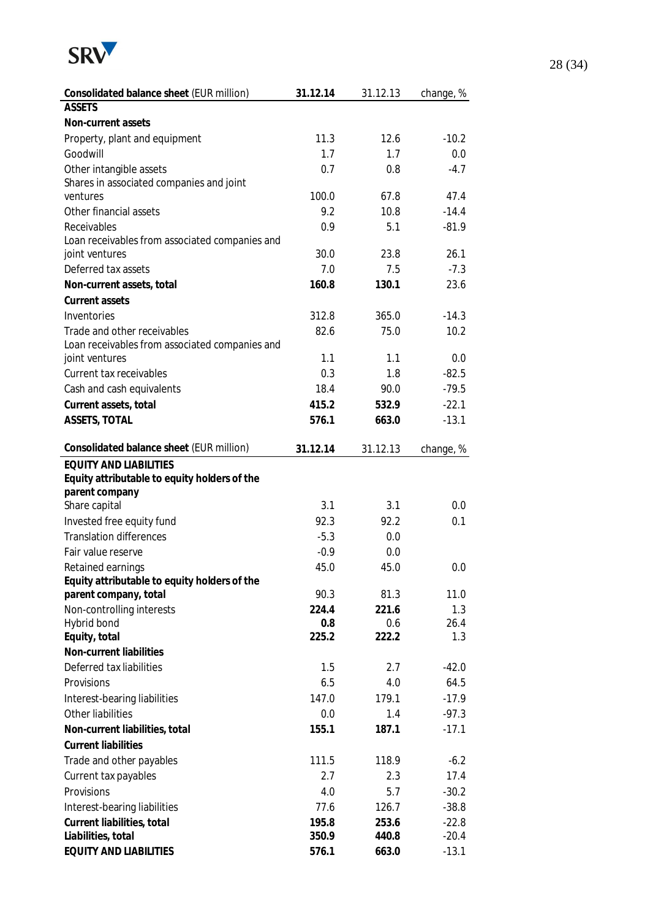

| Consolidated balance sheet (EUR million)       | 31.12.14     | 31.12.13     | change, %   |
|------------------------------------------------|--------------|--------------|-------------|
| <b>ASSETS</b>                                  |              |              |             |
| Non-current assets                             |              |              |             |
| Property, plant and equipment                  | 11.3         | 12.6         | $-10.2$     |
| Goodwill                                       | 1.7          | 1.7          | 0.0         |
| Other intangible assets                        | 0.7          | 0.8          | $-4.7$      |
| Shares in associated companies and joint       |              |              |             |
| ventures                                       | 100.0        | 67.8         | 47.4        |
| Other financial assets                         | 9.2          | 10.8         | $-14.4$     |
| Receivables                                    | 0.9          | 5.1          | $-81.9$     |
| Loan receivables from associated companies and |              |              |             |
| joint ventures                                 | 30.0         | 23.8         | 26.1        |
| Deferred tax assets                            | 7.0          | 7.5          | $-7.3$      |
| Non-current assets, total                      | 160.8        | 130.1        | 23.6        |
| Current assets                                 |              |              |             |
| Inventories                                    | 312.8        | 365.0        | $-14.3$     |
| Trade and other receivables                    | 82.6         | 75.0         | 10.2        |
| Loan receivables from associated companies and |              |              |             |
| joint ventures                                 | 1.1          | 1.1          | 0.0         |
| Current tax receivables                        | 0.3          | 1.8          | $-82.5$     |
| Cash and cash equivalents                      | 18.4         | 90.0         | $-79.5$     |
| Current assets, total                          | 415.2        | 532.9        | $-22.1$     |
| ASSETS, TOTAL                                  | 576.1        | 663.0        | $-13.1$     |
| Consolidated balance sheet (EUR million)       | 31.12.14     | 31.12.13     | change, %   |
| <b>EQUITY AND LIABILITIES</b>                  |              |              |             |
| Equity attributable to equity holders of the   |              |              |             |
| parent company                                 |              |              |             |
| Share capital                                  | 3.1          | 3.1          | 0.0         |
| Invested free equity fund                      | 92.3         | 92.2         | 0.1         |
| <b>Translation differences</b>                 | $-5.3$       | 0.0          |             |
| Fair value reserve                             | $-0.9$       | 0.0          |             |
| Retained earnings                              | 45.0         | 45.0         | 0.0         |
| Equity attributable to equity holders of the   |              |              | 11.0        |
| parent company, total                          | 90.3         | 81.3         |             |
| Non-controlling interests<br>Hybrid bond       | 224.4<br>0.8 | 221.6<br>0.6 | 1.3<br>26.4 |
| Equity, total                                  | 225.2        | 222.2        | 1.3         |
| Non-current liabilities                        |              |              |             |
| Deferred tax liabilities                       | 1.5          | 2.7          | $-42.0$     |
| Provisions                                     | 6.5          | 4.0          | 64.5        |
| Interest-bearing liabilities                   | 147.0        | 179.1        | $-17.9$     |
| Other liabilities                              | 0.0          | 1.4          | $-97.3$     |
|                                                |              |              |             |
| Non-current liabilities, total                 | 155.1        | 187.1        | $-17.1$     |
| <b>Current liabilities</b>                     |              |              |             |
| Trade and other payables                       | 111.5        | 118.9        | $-6.2$      |
| Current tax payables                           | 2.7          | 2.3          | 17.4        |
| Provisions                                     | 4.0          | 5.7          | $-30.2$     |
| Interest-bearing liabilities                   | 77.6         | 126.7        | $-38.8$     |
| Current liabilities, total                     | 195.8        | 253.6        | $-22.8$     |
| Liabilities, total                             | 350.9        | 440.8        | $-20.4$     |
| <b>EQUITY AND LIABILITIES</b>                  | 576.1        | 663.0        | $-13.1$     |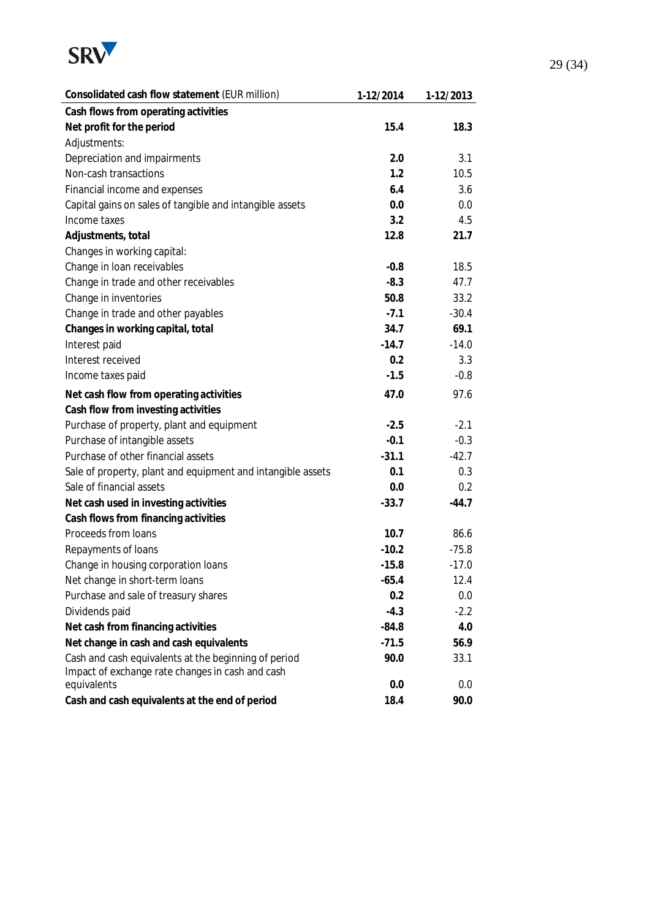

| Consolidated cash flow statement (EUR million)              | 1-12/2014 | 1-12/2013 |
|-------------------------------------------------------------|-----------|-----------|
| Cash flows from operating activities                        |           |           |
| Net profit for the period                                   | 15.4      | 18.3      |
| Adjustments:                                                |           |           |
| Depreciation and impairments                                | 2.0       | 3.1       |
| Non-cash transactions                                       | 1.2       | 10.5      |
| Financial income and expenses                               | 6.4       | 3.6       |
| Capital gains on sales of tangible and intangible assets    | 0.0       | 0.0       |
| Income taxes                                                | 3.2       | 4.5       |
| Adjustments, total                                          | 12.8      | 21.7      |
| Changes in working capital:                                 |           |           |
| Change in loan receivables                                  | $-0.8$    | 18.5      |
| Change in trade and other receivables                       | $-8.3$    | 47.7      |
| Change in inventories                                       | 50.8      | 33.2      |
| Change in trade and other payables                          | $-7.1$    | $-30.4$   |
| Changes in working capital, total                           | 34.7      | 69.1      |
| Interest paid                                               | $-14.7$   | $-14.0$   |
| Interest received                                           | 0.2       | 3.3       |
| Income taxes paid                                           | $-1.5$    | $-0.8$    |
| Net cash flow from operating activities                     | 47.0      | 97.6      |
| Cash flow from investing activities                         |           |           |
| Purchase of property, plant and equipment                   | $-2.5$    | $-2.1$    |
| Purchase of intangible assets                               | $-0.1$    | $-0.3$    |
| Purchase of other financial assets                          | $-31.1$   | $-42.7$   |
| Sale of property, plant and equipment and intangible assets | 0.1       | 0.3       |
| Sale of financial assets                                    | 0.0       | 0.2       |
| Net cash used in investing activities                       | $-33.7$   | $-44.7$   |
| Cash flows from financing activities                        |           |           |
| Proceeds from loans                                         | 10.7      | 86.6      |
| Repayments of loans                                         | $-10.2$   | $-75.8$   |
| Change in housing corporation loans                         | $-15.8$   | $-17.0$   |
| Net change in short-term loans                              | $-65.4$   | 12.4      |
| Purchase and sale of treasury shares                        | 0.2       | 0.0       |
| Dividends paid                                              | $-4.3$    | $-2.2$    |
| Net cash from financing activities                          | $-84.8$   | 4.0       |
| Net change in cash and cash equivalents                     | $-71.5$   | 56.9      |
| Cash and cash equivalents at the beginning of period        | 90.0      | 33.1      |
| Impact of exchange rate changes in cash and cash            |           |           |
| equivalents                                                 | 0.0       | 0.0       |
| Cash and cash equivalents at the end of period              | 18.4      | 90.0      |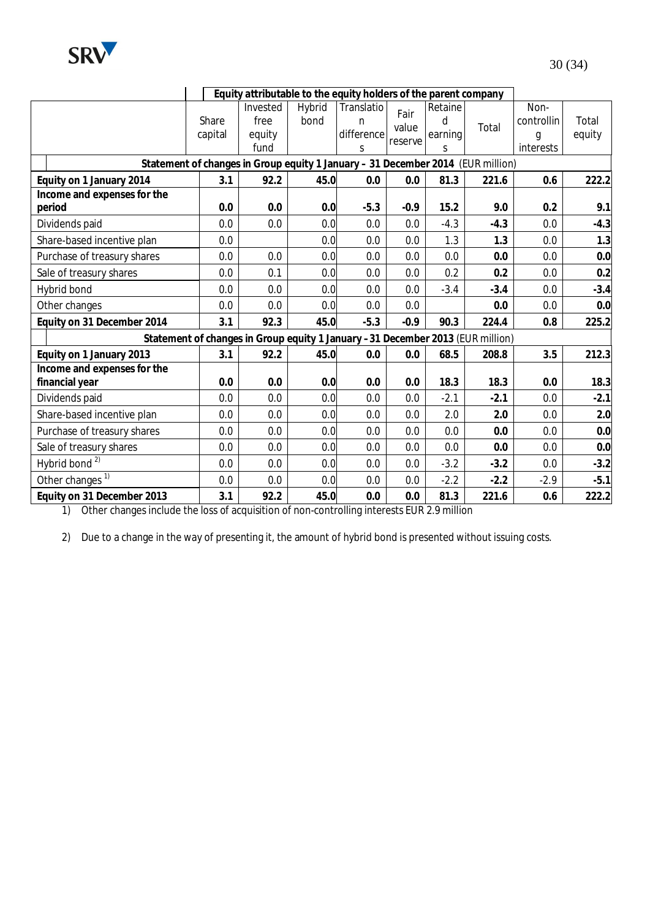

|                                               | Equity attributable to the equity holders of the parent company |                                                                                 |                |                                    |                          |                              |        |                                      |                 |
|-----------------------------------------------|-----------------------------------------------------------------|---------------------------------------------------------------------------------|----------------|------------------------------------|--------------------------|------------------------------|--------|--------------------------------------|-----------------|
|                                               | Share<br>capital                                                | Invested<br>free<br>equity<br>fund                                              | Hybrid<br>bond | Translatio<br>n<br>difference<br>S | Fair<br>value<br>reserve | Retaine<br>d<br>earning<br>S | Total  | Non-<br>controllin<br>g<br>interests | Total<br>equity |
|                                               |                                                                 | Statement of changes in Group equity 1 January - 31 December 2014 (EUR million) |                |                                    |                          |                              |        |                                      |                 |
| Equity on 1 January 2014                      | 3.1                                                             | 92.2                                                                            | 45.0           | 0.0                                | 0.0                      | 81.3                         | 221.6  | 0.6                                  | 222.2           |
| Income and expenses for the<br>period         | 0.0                                                             | 0.0                                                                             | 0.0            | $-5.3$                             | $-0.9$                   | 15.2                         | 9.0    | 0.2                                  | 9.1             |
| Dividends paid                                | 0.0                                                             | 0.0                                                                             | 0.0            | 0.0                                | 0.0                      | $-4.3$                       | $-4.3$ | 0.0                                  | $-4.3$          |
| Share-based incentive plan                    | 0.0                                                             |                                                                                 | 0.0            | 0.0                                | 0.0                      | 1.3                          | 1.3    | 0.0                                  | 1.3             |
| Purchase of treasury shares                   | 0.0                                                             | 0.0                                                                             | 0.0            | 0.0                                | 0.0                      | 0.0                          | 0.0    | 0.0                                  | 0.0             |
| Sale of treasury shares                       | 0.0                                                             | 0.1                                                                             | 0.0            | 0.0                                | 0.0                      | 0.2                          | 0.2    | 0.0                                  | 0.2             |
| Hybrid bond                                   | 0.0                                                             | 0.0                                                                             | 0.0            | 0.0                                | 0.0                      | $-3.4$                       | $-3.4$ | 0.0                                  | $-3.4$          |
| Other changes                                 | 0.0                                                             | 0.0                                                                             | 0.0            | 0.0                                | 0.0                      |                              | 0.0    | 0.0                                  | 0.0             |
| Equity on 31 December 2014                    | 3.1                                                             | 92.3                                                                            | 45.0           | $-5.3$                             | $-0.9$                   | 90.3                         | 224.4  | 0.8                                  | 225.2           |
|                                               |                                                                 | Statement of changes in Group equity 1 January -31 December 2013 (EUR million)  |                |                                    |                          |                              |        |                                      |                 |
| Equity on 1 January 2013                      | 3.1                                                             | 92.2                                                                            | 45.0           | 0.0                                | 0.0                      | 68.5                         | 208.8  | 3.5                                  | 212.3           |
| Income and expenses for the<br>financial year | 0.0                                                             | 0.0                                                                             | 0.0            | 0.0                                | 0.0                      | 18.3                         | 18.3   | 0.0                                  | 18.3            |
| Dividends paid                                | 0.0                                                             | 0.0                                                                             | 0.0            | 0.0                                | 0.0                      | $-2.1$                       | $-2.1$ | 0.0                                  | $-2.1$          |
| Share-based incentive plan                    | 0.0                                                             | 0.0                                                                             | 0.0            | 0.0                                | 0.0                      | 2.0                          | 2.0    | 0.0                                  | 2.0             |
| Purchase of treasury shares                   | 0.0                                                             | 0.0                                                                             | 0.0            | 0.0                                | 0.0                      | 0.0                          | 0.0    | 0.0                                  | 0.0             |
| Sale of treasury shares                       | 0.0                                                             | 0.0                                                                             | 0.0            | 0.0                                | 0.0                      | 0.0                          | 0.0    | 0.0                                  | 0.0             |
| Hybrid bond <sup>2)</sup>                     | 0.0                                                             | 0.0                                                                             | 0.0            | 0.0                                | 0.0                      | $-3.2$                       | $-3.2$ | 0.0                                  | $-3.2$          |
| Other changes <sup>1)</sup>                   | 0.0                                                             | 0.0                                                                             | 0.0            | 0.0                                | 0.0                      | $-2.2$                       | $-2.2$ | $-2.9$                               | $-5.1$          |
| Equity on 31 December 2013                    | 3.1                                                             | 92.2                                                                            | 45.0           | 0.0                                | 0.0                      | 81.3                         | 221.6  | 0.6                                  | 222.2           |

1) Other changes include the loss of acquisition of non-controlling interests EUR 2.9 million

2) Due to a change in the way of presenting it, the amount of hybrid bond is presented without issuing costs.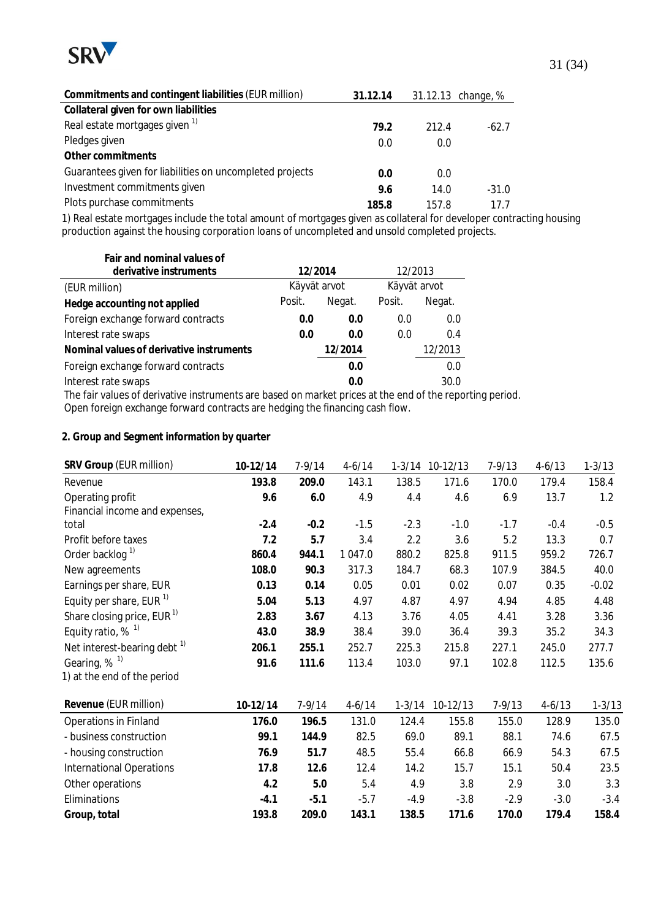

| Commitments and contingent liabilities (EUR million)     | 31.12.14 |       | 31.12.13 change, % |
|----------------------------------------------------------|----------|-------|--------------------|
| Collateral given for own liabilities                     |          |       |                    |
| Real estate mortgages given 1)                           | 79.2     | 212.4 | $-62.7$            |
| Pledges given                                            | 0.0      | 0.0   |                    |
| Other commitments                                        |          |       |                    |
| Guarantees given for liabilities on uncompleted projects | 0.0      | 0.0   |                    |
| Investment commitments given                             | 9.6      | 14.0  | $-31.0$            |
| Plots purchase commitments                               | 185.8    | 157.8 | 17 7               |

1) Real estate mortgages include the total amount of mortgages given as collateral for developer contracting housing production against the housing corporation loans of uncompleted and unsold completed projects.

| Fair and nominal values of                                                                   |         |              |         |              |
|----------------------------------------------------------------------------------------------|---------|--------------|---------|--------------|
| derivative instruments                                                                       | 12/2014 |              | 12/2013 |              |
| (EUR million)                                                                                |         | Käyvät arvot |         | Käyvät arvot |
| Hedge accounting not applied                                                                 | Posit.  | Negat.       | Posit.  | Negat.       |
| Foreign exchange forward contracts                                                           | 0.0     | 0.0          | 0.0     | 0.0          |
| Interest rate swaps                                                                          | 0.0     | 0.0          | 0.0     | 0.4          |
| Nominal values of derivative instruments                                                     |         | 12/2014      |         | 12/2013      |
| Foreign exchange forward contracts                                                           |         | 0.0          |         | 0.0          |
| Interest rate swaps                                                                          |         | 0.0          |         | 30.0         |
| The fair values of derivative instruments are besed on market prises at the end of the repor |         |              |         |              |

The fair values of derivative instruments are based on market prices at the end of the reporting period. Open foreign exchange forward contracts are hedging the financing cash flow.

#### **2. Group and Segment information by quarter**

| SRV Group (EUR million)                 | 10-12/14 | $7 - 9/14$ | $4 - 6/14$ |            | 1-3/14 10-12/13 | $7 - 9/13$ | $4 - 6/13$ | $1 - 3/13$ |
|-----------------------------------------|----------|------------|------------|------------|-----------------|------------|------------|------------|
| Revenue                                 | 193.8    | 209.0      | 143.1      | 138.5      | 171.6           | 170.0      | 179.4      | 158.4      |
| Operating profit                        | 9.6      | 6.0        | 4.9        | 4.4        | 4.6             | 6.9        | 13.7       | 1.2        |
| Financial income and expenses,          |          |            |            |            |                 |            |            |            |
| total                                   | $-2.4$   | $-0.2$     | $-1.5$     | $-2.3$     | $-1.0$          | $-1.7$     | $-0.4$     | $-0.5$     |
| Profit before taxes                     | 7.2      | 5.7        | 3.4        | 2.2        | 3.6             | 5.2        | 13.3       | 0.7        |
| Order backlog <sup>1)</sup>             | 860.4    | 944.1      | 1 047.0    | 880.2      | 825.8           | 911.5      | 959.2      | 726.7      |
| New agreements                          | 108.0    | 90.3       | 317.3      | 184.7      | 68.3            | 107.9      | 384.5      | 40.0       |
| Earnings per share, EUR                 | 0.13     | 0.14       | 0.05       | 0.01       | 0.02            | 0.07       | 0.35       | $-0.02$    |
| Equity per share, EUR <sup>1)</sup>     | 5.04     | 5.13       | 4.97       | 4.87       | 4.97            | 4.94       | 4.85       | 4.48       |
| Share closing price, EUR $1$            | 2.83     | 3.67       | 4.13       | 3.76       | 4.05            | 4.41       | 3.28       | 3.36       |
| Equity ratio, $%$ <sup>1)</sup>         | 43.0     | 38.9       | 38.4       | 39.0       | 36.4            | 39.3       | 35.2       | 34.3       |
| Net interest-bearing debt <sup>1)</sup> | 206.1    | 255.1      | 252.7      | 225.3      | 215.8           | 227.1      | 245.0      | 277.7      |
| Gearing, % <sup>1)</sup>                | 91.6     | 111.6      | 113.4      | 103.0      | 97.1            | 102.8      | 112.5      | 135.6      |
| 1) at the end of the period             |          |            |            |            |                 |            |            |            |
| Revenue (EUR million)                   | 10-12/14 | $7 - 9/14$ | $4 - 6/14$ | $1 - 3/14$ | 10-12/13        | $7 - 9/13$ | $4 - 6/13$ | $1 - 3/13$ |
| <b>Operations in Finland</b>            | 176.0    | 196.5      | 131.0      | 124.4      | 155.8           | 155.0      | 128.9      | 135.0      |
| - business construction                 | 99.1     | 144.9      | 82.5       | 69.0       | 89.1            | 88.1       | 74.6       | 67.5       |
| - housing construction                  | 76.9     | 51.7       | 48.5       | 55.4       | 66.8            | 66.9       | 54.3       | 67.5       |
| <b>International Operations</b>         | 17.8     | 12.6       | 12.4       | 14.2       | 15.7            | 15.1       | 50.4       | 23.5       |
| Other operations                        | 4.2      | 5.0        | 5.4        | 4.9        | 3.8             | 2.9        | 3.0        | 3.3        |
| Eliminations                            | $-4.1$   | $-5.1$     | $-5.7$     | $-4.9$     | $-3.8$          | $-2.9$     | $-3.0$     | $-3.4$     |
| Group, total                            | 193.8    | 209.0      | 143.1      | 138.5      | 171.6           | 170.0      | 179.4      | 158.4      |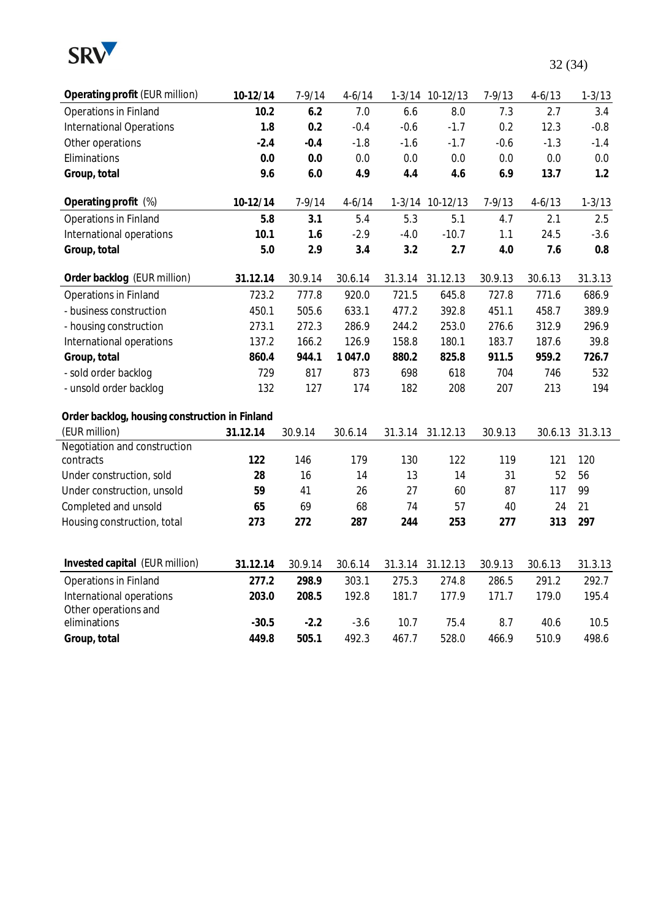

| Operating profit (EUR million)                 | 10-12/14 | $7 - 9/14$ | $4 - 6/14$ |         | 1-3/14 10-12/13 | $7 - 9/13$ | $4 - 6/13$ | $1 - 3/13$ |
|------------------------------------------------|----------|------------|------------|---------|-----------------|------------|------------|------------|
| Operations in Finland                          | 10.2     | 6.2        | 7.0        | 6.6     | 8.0             | 7.3        | 2.7        | 3.4        |
| <b>International Operations</b>                | 1.8      | 0.2        | $-0.4$     | $-0.6$  | $-1.7$          | 0.2        | 12.3       | $-0.8$     |
| Other operations                               | $-2.4$   | $-0.4$     | $-1.8$     | $-1.6$  | $-1.7$          | $-0.6$     | $-1.3$     | $-1.4$     |
| Eliminations                                   | 0.0      | 0.0        | 0.0        | 0.0     | 0.0             | 0.0        | 0.0        | 0.0        |
| Group, total                                   | 9.6      | 6.0        | 4.9        | 4.4     | 4.6             | 6.9        | 13.7       | 1.2        |
| Operating profit (%)                           | 10-12/14 | $7 - 9/14$ | $4 - 6/14$ |         | 1-3/14 10-12/13 | $7 - 9/13$ | $4 - 6/13$ | $1 - 3/13$ |
| Operations in Finland                          | 5.8      | 3.1        | 5.4        | 5.3     | 5.1             | 4.7        | 2.1        | 2.5        |
| International operations                       | 10.1     | 1.6        | $-2.9$     | $-4.0$  | $-10.7$         | 1.1        | 24.5       | $-3.6$     |
| Group, total                                   | 5.0      | 2.9        | 3.4        | 3.2     | 2.7             | 4.0        | 7.6        | $0.8\,$    |
| Order backlog (EUR million)                    | 31.12.14 | 30.9.14    | 30.6.14    | 31.3.14 | 31.12.13        | 30.9.13    | 30.6.13    | 31.3.13    |
| Operations in Finland                          | 723.2    | 777.8      | 920.0      | 721.5   | 645.8           | 727.8      | 771.6      | 686.9      |
| - business construction                        | 450.1    | 505.6      | 633.1      | 477.2   | 392.8           | 451.1      | 458.7      | 389.9      |
| - housing construction                         | 273.1    | 272.3      | 286.9      | 244.2   | 253.0           | 276.6      | 312.9      | 296.9      |
| International operations                       | 137.2    | 166.2      | 126.9      | 158.8   | 180.1           | 183.7      | 187.6      | 39.8       |
| Group, total                                   | 860.4    | 944.1      | 1 047.0    | 880.2   | 825.8           | 911.5      | 959.2      | 726.7      |
| - sold order backlog                           | 729      | 817        | 873        | 698     | 618             | 704        | 746        | 532        |
| - unsold order backlog                         | 132      | 127        | 174        | 182     | 208             | 207        | 213        | 194        |
| Order backlog, housing construction in Finland |          |            |            |         |                 |            |            |            |
| (EUR million)                                  | 31.12.14 | 30.9.14    | 30.6.14    | 31.3.14 | 31.12.13        | 30.9.13    | 30.6.13    | 31.3.13    |
| Negotiation and construction                   |          |            |            |         |                 |            |            |            |
| contracts                                      | 122      | 146        | 179        | 130     | 122             | 119        | 121        | 120        |
| Under construction, sold                       | 28       | 16         | 14         | 13      | 14              | 31         | 52         | 56         |
| Under construction, unsold                     | 59       | 41         | 26         | 27      | 60              | 87         | 117        | 99         |
| Completed and unsold                           | 65       | 69         | 68         | 74      | 57              | 40         | 24         | 21         |
| Housing construction, total                    | 273      | 272        | 287        | 244     | 253             | 277        | 313        | 297        |
| Invested capital (EUR million)                 | 31.12.14 | 30.9.14    | 30.6.14    | 31.3.14 | 31.12.13        | 30.9.13    | 30.6.13    | 31.3.13    |
| Operations in Finland                          | 277.2    | 298.9      | 303.1      | 275.3   | 274.8           | 286.5      | 291.2      | 292.7      |
| International operations                       | 203.0    | 208.5      | 192.8      | 181.7   | 177.9           | 171.7      | 179.0      | 195.4      |
| Other operations and                           |          |            |            |         |                 |            |            |            |
| eliminations                                   | $-30.5$  | $-2.2$     | $-3.6$     | 10.7    | 75.4            | 8.7        | 40.6       | 10.5       |
| Group, total                                   | 449.8    | 505.1      | 492.3      | 467.7   | 528.0           | 466.9      | 510.9      | 498.6      |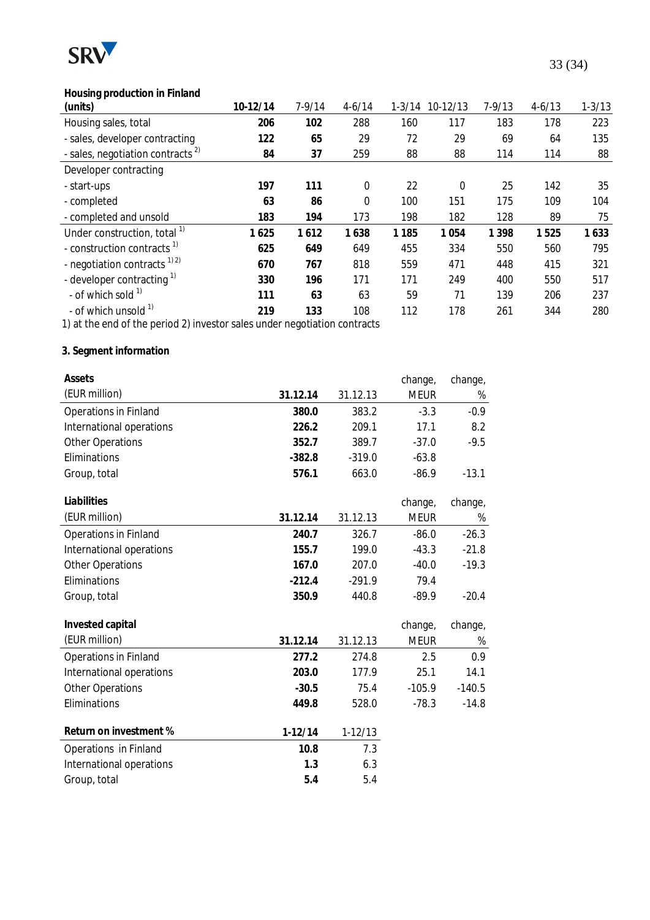

## 33 (34)

## **Housing production in Finland**

| (units)                                      | 10-12/14 | 7-9/14 | $4 - 6/14$ | $1 - 3/14$ | $10-12/13$ | $7 - 9/13$ | $4 - 6/13$ | $1 - 3/13$ |
|----------------------------------------------|----------|--------|------------|------------|------------|------------|------------|------------|
| Housing sales, total                         | 206      | 102    | 288        | 160        | 117        | 183        | 178        | 223        |
| - sales, developer contracting               | 122      | 65     | 29         | 72         | 29         | 69         | 64         | 135        |
| - sales, negotiation contracts <sup>2)</sup> | 84       | 37     | 259        | 88         | 88         | 114        | 114        | 88         |
| Developer contracting                        |          |        |            |            |            |            |            |            |
| - start-ups                                  | 197      | 111    | 0          | 22         | 0          | 25         | 142        | 35         |
| - completed                                  | 63       | 86     | 0          | 100        | 151        | 175        | 109        | 104        |
| - completed and unsold                       | 183      | 194    | 173        | 198        | 182        | 128        | 89         | 75         |
| Under construction, total <sup>1)</sup>      | 1625     | 1612   | 1638       | 1 1 8 5    | 1054       | 1 3 9 8    | 1525       | 1633       |
| - construction contracts <sup>1)</sup>       | 625      | 649    | 649        | 455        | 334        | 550        | 560        | 795        |
| - negotiation contracts <sup>1)2)</sup>      | 670      | 767    | 818        | 559        | 471        | 448        | 415        | 321        |
| - developer contracting $\frac{1}{1}$        | 330      | 196    | 171        | 171        | 249        | 400        | 550        | 517        |
| - of which sold $1$                          | 111      | 63     | 63         | 59         | 71         | 139        | 206        | 237        |
| - of which unsold <sup>1)</sup>              | 219      | 133    | 108        | 112        | 178        | 261        | 344        | 280        |

1) at the end of the period 2) investor sales under negotiation contracts

## **3. Segment information**

| Assets                       |           |             | change,     | change,  |
|------------------------------|-----------|-------------|-------------|----------|
| (EUR million)                | 31.12.14  | 31.12.13    | <b>MEUR</b> | %        |
| Operations in Finland        | 380.0     | 383.2       | $-3.3$      | $-0.9$   |
| International operations     | 226.2     | 209.1       | 17.1        | 8.2      |
| <b>Other Operations</b>      | 352.7     | 389.7       | $-37.0$     | $-9.5$   |
| Eliminations                 | $-382.8$  | $-319.0$    | $-63.8$     |          |
| Group, total                 | 576.1     | 663.0       | $-86.9$     | $-13.1$  |
| Liabilities                  |           |             | change,     | change,  |
| (EUR million)                | 31.12.14  | 31.12.13    | <b>MEUR</b> | %        |
| Operations in Finland        | 240.7     | 326.7       | $-86.0$     | $-26.3$  |
| International operations     | 155.7     | 199.0       | $-43.3$     | $-21.8$  |
| <b>Other Operations</b>      | 167.0     | 207.0       | $-40.0$     | $-19.3$  |
| Eliminations                 | $-212.4$  | $-291.9$    | 79.4        |          |
| Group, total                 | 350.9     | 440.8       | $-89.9$     | $-20.4$  |
| Invested capital             |           |             | change,     | change,  |
| (EUR million)                | 31.12.14  | 31.12.13    | <b>MEUR</b> | %        |
| <b>Operations in Finland</b> | 277.2     | 274.8       | 2.5         | 0.9      |
| International operations     | 203.0     | 177.9       | 25.1        | 14.1     |
| <b>Other Operations</b>      | $-30.5$   | 75.4        | $-105.9$    | $-140.5$ |
| Eliminations                 | 449.8     | 528.0       | $-78.3$     | $-14.8$  |
| Return on investment %       | $1-12/14$ | $1 - 12/13$ |             |          |
| Operations in Finland        | 10.8      | 7.3         |             |          |
| International operations     | 1.3       | 6.3         |             |          |
| Group, total                 | 5.4       | 5.4         |             |          |